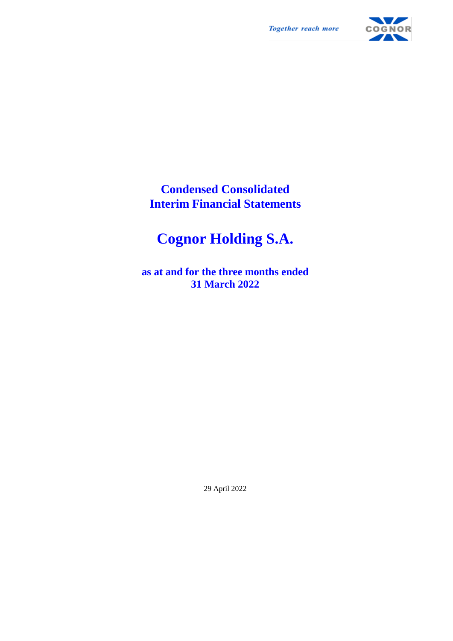**Together reach more** 



**Condensed Consolidated Interim Financial Statements**

# **Cognor Holding S.A.**

**as at and for the three months ended 31 March 2022**

29 April 2022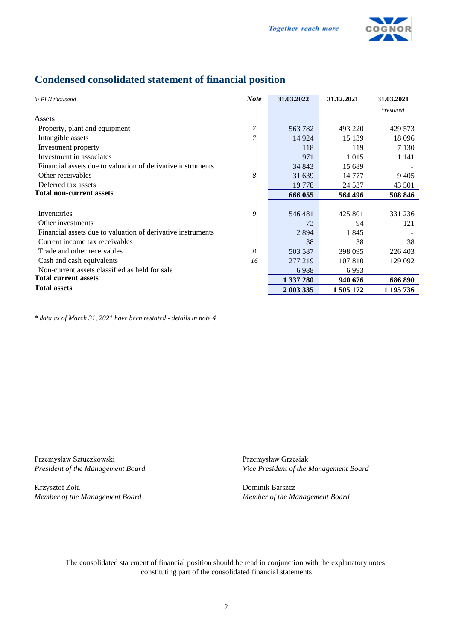

## **Condensed consolidated statement of financial position**

| in PLN thousand                                             | <b>Note</b>              | 31.03.2022 | 31.12.2021 | 31.03.2021  |
|-------------------------------------------------------------|--------------------------|------------|------------|-------------|
|                                                             |                          |            |            | $*restated$ |
| <b>Assets</b>                                               |                          |            |            |             |
| Property, plant and equipment                               | 7                        | 563 782    | 493 220    | 429 573     |
| Intangible assets                                           | $\overline{\mathcal{L}}$ | 14 9 24    | 15 139     | 18 0 96     |
| Investment property                                         |                          | 118        | 119        | 7 1 3 0     |
| Investment in associates                                    |                          | 971        | 1 0 1 5    | 1 1 4 1     |
| Financial assets due to valuation of derivative instruments |                          | 34 843     | 15 689     |             |
| Other receivables                                           | 8                        | 31 639     | 14 777     | 9405        |
| Deferred tax assets                                         |                          | 19 7 78    | 24 5 37    | 43 501      |
| Total non-current assets                                    |                          | 666 055    | 564 496    | 508 846     |
|                                                             |                          |            |            |             |
| Inventories                                                 | 9                        | 546481     | 425 801    | 331 236     |
| Other investments                                           |                          | 73         | 94         | 121         |
| Financial assets due to valuation of derivative instruments |                          | 2894       | 1845       |             |
| Current income tax receivables                              |                          | 38         | 38         | 38          |
| Trade and other receivables                                 | 8                        | 503 587    | 398 095    | 226 403     |
| Cash and cash equivalents                                   | 16                       | 277 219    | 107 810    | 129 092     |
| Non-current assets classified as held for sale              |                          | 6988       | 6993       |             |
| <b>Total current assets</b>                                 |                          | 1 337 280  | 940 676    | 686 890     |
| <b>Total assets</b>                                         |                          | 2 003 335  | 1 505 172  | 1 195 736   |

*\* data as of March 31, 2021 have been restated - details in note 4*

Przemysław Sztuczkowski Przemysław Grzesiak

Krzysztof Zoła Dominik Barszcz *Member of the Management Board Member of the Management Board*

*President of the Management Board Vice President of the Management Board*

The consolidated statement of financial position should be read in conjunction with the explanatory notes constituting part of the consolidated financial statements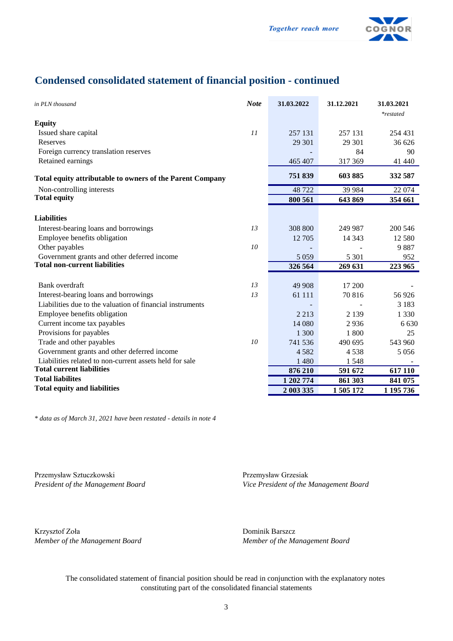

## **Condensed consolidated statement of financial position - continued**

| in PLN thousand                                           | <b>Note</b>     | 31.03.2022 | 31.12.2021 | 31.03.2021<br>*restated |
|-----------------------------------------------------------|-----------------|------------|------------|-------------------------|
| <b>Equity</b>                                             |                 |            |            |                         |
| Issued share capital                                      | 11              | 257 131    | 257 131    | 254 431                 |
| Reserves                                                  |                 | 29 301     | 29 301     | 36 626                  |
| Foreign currency translation reserves                     |                 |            | 84         | 90                      |
| Retained earnings                                         |                 | 465 407    | 317 369    | 41 440                  |
| Total equity attributable to owners of the Parent Company |                 | 751839     | 603885     | 332 587                 |
| Non-controlling interests                                 |                 | 48722      | 39 9 84    | 22 074                  |
| <b>Total equity</b>                                       |                 | 800 561    | 643 869    | 354 661                 |
| <b>Liabilities</b>                                        |                 |            |            |                         |
| Interest-bearing loans and borrowings                     | 13              | 308 800    | 249 987    | 200 546                 |
| Employee benefits obligation                              |                 | 12 705     | 14 3 43    | 12 580                  |
| Other payables                                            | 10 <sup>2</sup> |            |            | 9887                    |
| Government grants and other deferred income               |                 | 5 0 5 9    | 5 3 0 1    | 952                     |
| <b>Total non-current liabilities</b>                      |                 | 326 564    | 269 631    | 223 965                 |
|                                                           |                 |            |            |                         |
| Bank overdraft                                            | 13              | 49 908     | 17 200     |                         |
| Interest-bearing loans and borrowings                     | 13              | 61 111     | 70 816     | 56926                   |
| Liabilities due to the valuation of financial instruments |                 |            |            | 3 1 8 3                 |
| Employee benefits obligation                              |                 | 2 2 1 3    | 2 1 3 9    | 1 3 3 0                 |
| Current income tax payables                               |                 | 14 080     | 2936       | 6 6 3 0                 |
| Provisions for payables                                   |                 | 1 300      | 1 800      | 25                      |
| Trade and other payables                                  | 10              | 741 536    | 490 695    | 543 960                 |
| Government grants and other deferred income               |                 | 4 5 8 2    | 4 5 3 8    | 5 0 5 6                 |
| Liabilities related to non-current assets held for sale   |                 | 1 4 8 0    | 1 5 4 8    |                         |
| <b>Total current liabilities</b>                          |                 | 876 210    | 591 672    | 617 110                 |
| <b>Total liabilites</b>                                   |                 | 1 202 774  | 861 303    | 841 075                 |
| <b>Total equity and liabilities</b>                       |                 | 2 003 335  | 1 505 172  | 1 195 736               |

*\* data as of March 31, 2021 have been restated - details in note 4*

Przemysław Sztuczkowski Przemysław Grzesiak

*President of the Management Board Vice President of the Management Board*

Krzysztof Zoła Dominik Barszcz *Member of the Management Board Member of the Management Board*

The consolidated statement of financial position should be read in conjunction with the explanatory notes constituting part of the consolidated financial statements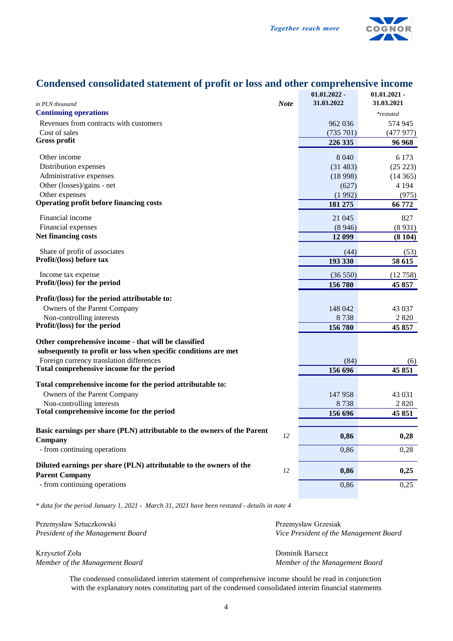

## **Condensed consolidated statement of profit or loss and other comprehensive income**

| <b>Continuing operations</b>                                                                  |    |           |           |
|-----------------------------------------------------------------------------------------------|----|-----------|-----------|
|                                                                                               |    |           | *restated |
| Revenues from contracts with customers                                                        |    | 962 036   | 574 945   |
| Cost of sales                                                                                 |    | (735 701) | (477977)  |
| <b>Gross profit</b>                                                                           |    | 226 335   | 96 968    |
| Other income                                                                                  |    | 8 0 4 0   | 6 1 7 3   |
| Distribution expenses                                                                         |    | (31 483)  | (25 223)  |
| Administrative expenses                                                                       |    | (18998)   | (14365)   |
| Other (losses)/gains - net                                                                    |    | (627)     | 4 1 9 4   |
| Other expenses                                                                                |    | (1992)    | (975)     |
| Operating profit before financing costs                                                       |    | 181 275   | 66 772    |
| Financial income                                                                              |    | 21 045    | 827       |
| Financial expenses                                                                            |    | (8946)    | (8931)    |
| <b>Net financing costs</b>                                                                    |    | 12 099    | (8104)    |
| Share of profit of associates                                                                 |    | (44)      | (53)      |
| Profit/(loss) before tax                                                                      |    | 193 330   | 58 615    |
| Income tax expense                                                                            |    | (36550)   | (12758)   |
| Profit/(loss) for the period                                                                  |    | 156 780   | 45 857    |
| Profit/(loss) for the period attributable to:                                                 |    |           |           |
| Owners of the Parent Company                                                                  |    | 148 042   | 43 0 37   |
| Non-controlling interests                                                                     |    | 8738      | 2 8 2 0   |
| Profit/(loss) for the period                                                                  |    | 156 780   | 45 857    |
| Other comprehensive income - that will be classified                                          |    |           |           |
| subsequently to profit or loss when specific conditions are met                               |    |           |           |
| Foreign currency translation differences                                                      |    | (84)      | (6)       |
| Total comprehensive income for the period                                                     |    | 156 696   | 45 851    |
| Total comprehensive income for the period attributable to:                                    |    |           |           |
| Owners of the Parent Company                                                                  |    | 147958    | 43 0 31   |
| Non-controlling interests                                                                     |    | 8738      | 2820      |
| Total comprehensive income for the period                                                     |    | 156 696   | 45 851    |
| Basic earnings per share (PLN) attributable to the owners of the Parent                       |    |           |           |
| Company                                                                                       | 12 | 0,86      | 0,28      |
| - from continuing operations                                                                  |    | 0,86      | 0,28      |
| Diluted earnings per share (PLN) attributable to the owners of the                            |    |           |           |
| <b>Parent Company</b>                                                                         | 12 | 0,86      | 0,25      |
| - from continuing operations                                                                  |    | 0,86      | 0,25      |
|                                                                                               |    |           |           |
| * data for the period January 1, 2021 - March 31, 2021 have been restated - details in note 4 |    |           |           |

Przemysław Sztuczkowski Przemysław Grzesiak Przemysław Grzesiak Przemysław Grzesiak Przemysław Grzesiak Przemysław Grzesiak Przemysław Grzesiak Przemysław Grzesiak Przemysław Grzesiak Przemysław Grzesiak Przemysław Grzesia

Krzysztof Zoła Dominik Barszcz *Member of the Management Board Member of the Management Board*

*President of the Management Board Vice President of the Management Board*

The condensed consolidated interim statement of comprehensive income should be read in conjunction with the explanatory notes constituting part of the condensed consolidated interim financial statements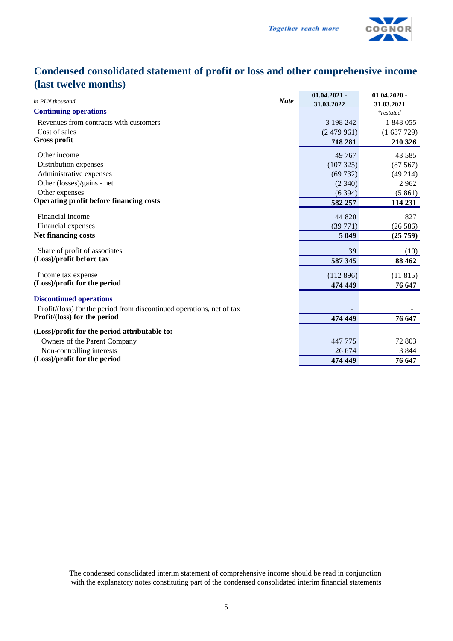

## **Condensed consolidated statement of profit or loss and other comprehensive income (last twelve months)**

|                                                                       | $01.04.2021 -$ | $01.04.2020 -$   |
|-----------------------------------------------------------------------|----------------|------------------|
| <b>Note</b><br>in PLN thousand                                        | 31.03.2022     | 31.03.2021       |
| <b>Continuing operations</b>                                          |                | <i>*restated</i> |
| Revenues from contracts with customers                                | 3 198 242      | 1 848 055        |
| Cost of sales                                                         | (2479961)      | (1637729)        |
| <b>Gross profit</b>                                                   | 718 281        | 210 326          |
| Other income                                                          | 49 767         | 43 5 85          |
| Distribution expenses                                                 | (107325)       | (87567)          |
| Administrative expenses                                               | (69732)        | (49 214)         |
| Other (losses)/gains - net                                            | (2340)         | 2962             |
| Other expenses                                                        | (6394)         | (5861)           |
| <b>Operating profit before financing costs</b>                        | 582 257        | 114 231          |
| Financial income                                                      | 44 820         | 827              |
| Financial expenses                                                    | (39771)        | (26586)          |
| Net financing costs                                                   | 5 0 4 9        | (25759)          |
| Share of profit of associates                                         | 39             | (10)             |
| (Loss)/profit before tax                                              | 587 345        | 88 4 62          |
| Income tax expense                                                    | (112896)       | (11815)          |
| (Loss)/profit for the period                                          | 474 449        | 76 647           |
| <b>Discontinued operations</b>                                        |                |                  |
| Profit/(loss) for the period from discontinued operations, net of tax |                |                  |
| Profit/(loss) for the period                                          | 474 449        | 76 647           |
|                                                                       |                |                  |
| (Loss)/profit for the period attributable to:                         |                |                  |
| Owners of the Parent Company                                          | 447 775        | 72 803           |
| Non-controlling interests<br>(Loss)/profit for the period             | 26 674         | 3 8 4 4          |
|                                                                       | 474 449        | 76 647           |

The condensed consolidated interim statement of comprehensive income should be read in conjunction with the explanatory notes constituting part of the condensed consolidated interim financial statements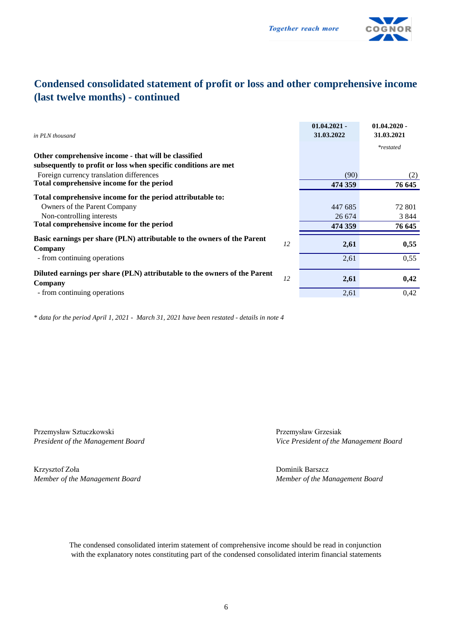

## **Condensed consolidated statement of profit or loss and other comprehensive income (last twelve months) - continued**

| in PLN thousand                                                                      |    | $01.04.2021 -$<br>31.03.2022 | $01.04.2020 -$<br>31.03.2021 |
|--------------------------------------------------------------------------------------|----|------------------------------|------------------------------|
|                                                                                      |    |                              | <i>*restated</i>             |
| Other comprehensive income - that will be classified                                 |    |                              |                              |
| subsequently to profit or loss when specific conditions are met                      |    |                              |                              |
| Foreign currency translation differences                                             |    | (90)                         | (2)                          |
| Total comprehensive income for the period                                            |    | 474 359                      | 76 645                       |
| Total comprehensive income for the period attributable to:                           |    |                              |                              |
| Owners of the Parent Company                                                         |    | 447 685                      | 72 801                       |
| Non-controlling interests                                                            |    | 26 674                       | 3 8 4 4                      |
| Total comprehensive income for the period                                            |    | 474 359                      | 76 645                       |
| Basic earnings per share (PLN) attributable to the owners of the Parent              |    |                              |                              |
| Company                                                                              | 12 | 2,61                         | 0,55                         |
| - from continuing operations                                                         |    | 2,61                         | 0,55                         |
| Diluted earnings per share (PLN) attributable to the owners of the Parent<br>Company | 12 | 2,61                         | 0,42                         |
| - from continuing operations                                                         |    | 2,61                         | 0,42                         |
|                                                                                      |    |                              |                              |

*\* data for the period April 1, 2021 - March 31, 2021 have been restated - details in note 4*

Przemysław Sztuczkowski Przemysław Grzesiak

Krzysztof Zoła Dominik Barszcz *Member of the Management Board Member of the Management Board*

*President of the Management Board Vice President of the Management Board*

The condensed consolidated interim statement of comprehensive income should be read in conjunction with the explanatory notes constituting part of the condensed consolidated interim financial statements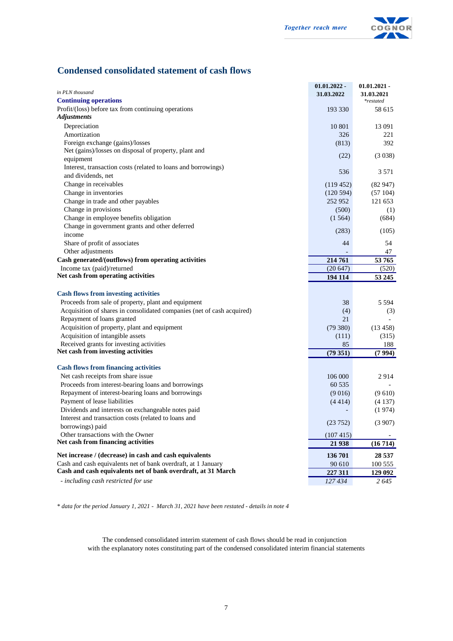

#### **Condensed consolidated statement of cash flows**

| in PLN thousand                                                                                                               | $01.01.2022 -$  | $01.01.2021$ -          |
|-------------------------------------------------------------------------------------------------------------------------------|-----------------|-------------------------|
| <b>Continuing operations</b>                                                                                                  | 31.03.2022      | 31.03.2021<br>*restated |
| Profit/(loss) before tax from continuing operations                                                                           | 193 330         | 58 615                  |
| <b>Adjustments</b>                                                                                                            |                 |                         |
| Depreciation                                                                                                                  | 10 801          | 13 091                  |
| Amortization                                                                                                                  | 326             | 221                     |
| Foreign exchange (gains)/losses                                                                                               | (813)           | 392                     |
| Net (gains)/losses on disposal of property, plant and                                                                         |                 | (3038)                  |
| equipment                                                                                                                     | (22)            |                         |
| Interest, transaction costs (related to loans and borrowings)                                                                 | 536             | 3 5 7 1                 |
| and dividends, net                                                                                                            |                 |                         |
| Change in receivables                                                                                                         | (119452)        | (82947)                 |
| Change in inventories                                                                                                         | (120594)        | (57104)                 |
| Change in trade and other payables<br>Change in provisions                                                                    | 252 952         | 121 653                 |
| Change in employee benefits obligation                                                                                        | (500)<br>(1564) | (1)<br>(684)            |
| Change in government grants and other deferred                                                                                |                 |                         |
| income                                                                                                                        | (283)           | (105)                   |
| Share of profit of associates                                                                                                 | 44              | 54                      |
| Other adjustments                                                                                                             |                 | 47                      |
| Cash generated/(outflows) from operating activities                                                                           | 214 761         | 53765                   |
| Income tax (paid)/returned                                                                                                    | (20647)         | (520)                   |
| Net cash from operating activities                                                                                            | 194 114         | 53 245                  |
|                                                                                                                               |                 |                         |
| <b>Cash flows from investing activities</b><br>Proceeds from sale of property, plant and equipment                            | 38              | 5 5 9 4                 |
| Acquisition of shares in consolidated companies (net of cash acquired)                                                        | (4)             | (3)                     |
| Repayment of loans granted                                                                                                    | 21              |                         |
| Acquisition of property, plant and equipment                                                                                  | (79380)         | (13 458)                |
| Acquisition of intangible assets                                                                                              | (111)           | (315)                   |
| Received grants for investing activities                                                                                      | 85              | 188                     |
| Net cash from investing activities                                                                                            | (79351)         | (7994)                  |
| <b>Cash flows from financing activities</b>                                                                                   |                 |                         |
| Net cash receipts from share issue                                                                                            | 106 000         | 2914                    |
| Proceeds from interest-bearing loans and borrowings                                                                           | 60 535          |                         |
| Repayment of interest-bearing loans and borrowings                                                                            | (9016)          | (9610)                  |
| Payment of lease liabilities                                                                                                  | (4414)          | (4137)                  |
| Dividends and interests on exchangeable notes paid                                                                            |                 | (1974)                  |
| Interest and transaction costs (related to loans and                                                                          | (23752)         | (3907)                  |
| borrowings) paid                                                                                                              |                 |                         |
| Other transactions with the Owner                                                                                             | (107415)        |                         |
| Net cash from financing activities                                                                                            | 21 938          | (16714)                 |
| Net increase / (decrease) in cash and cash equivalents                                                                        | 136 701         | 28 5 37                 |
| Cash and cash equivalents net of bank overdraft, at 1 January<br>Cash and cash equivalents net of bank overdraft, at 31 March | 90 610          | 100 555                 |
|                                                                                                                               | 227 311         | 129 092                 |
| - including cash restricted for use                                                                                           | 127 434         | 2645                    |

*\* data for the period January 1, 2021 - March 31, 2021 have been restated - details in note 4*

The condensed consolidated interim statement of cash flows should be read in conjunction with the explanatory notes constituting part of the condensed consolidated interim financial statements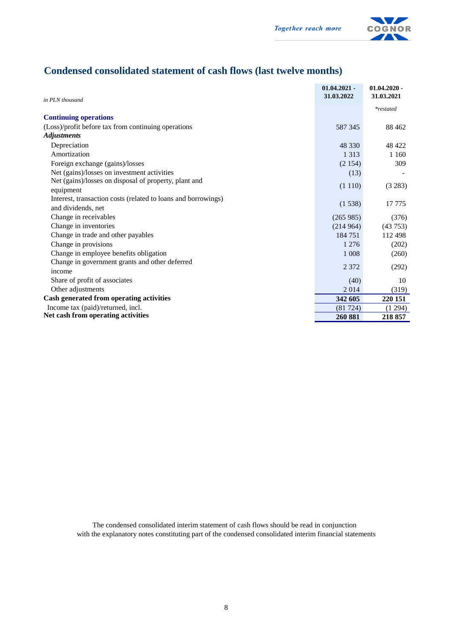

## **Condensed consolidated statement of cash flows (last twelve months)**

|                                                               | $01.04.2021 -$<br>31.03.2022 | $01.04.2020$ -<br>31.03.2021 |
|---------------------------------------------------------------|------------------------------|------------------------------|
| in PLN thousand                                               |                              |                              |
|                                                               |                              | <i>*restated</i>             |
| <b>Continuing operations</b>                                  |                              |                              |
| (Loss)/profit before tax from continuing operations           | 587 345                      | 88 4 62                      |
| <i><b>Adjustments</b></i>                                     |                              |                              |
| Depreciation                                                  | 48 330                       | 48 422                       |
| Amortization                                                  | 1 3 1 3                      | 1 1 6 0                      |
| Foreign exchange (gains)/losses                               | (2154)                       | 309                          |
| Net (gains)/losses on investment activities                   | (13)                         |                              |
| Net (gains)/losses on disposal of property, plant and         |                              |                              |
| equipment                                                     | (1110)                       | (3 283)                      |
| Interest, transaction costs (related to loans and borrowings) |                              |                              |
| and dividends, net                                            | (1538)                       | 17 775                       |
| Change in receivables                                         | (265985)                     | (376)                        |
| Change in inventories                                         | (214964)                     | (43753)                      |
| Change in trade and other payables                            | 184 751                      | 112 498                      |
| Change in provisions                                          | 1 2 7 6                      | (202)                        |
| Change in employee benefits obligation                        | 1 0 0 8                      | (260)                        |
| Change in government grants and other deferred                |                              |                              |
| income                                                        | 2 3 7 2                      | (292)                        |
| Share of profit of associates                                 | (40)                         | 10                           |
| Other adjustments                                             | 2014                         | (319)                        |
| Cash generated from operating activities                      | 342 605                      | 220 151                      |
| Income tax (paid)/returned, incl.                             | (81724)                      | (1294)                       |
| Net cash from operating activities                            | 260 881                      | 218 857                      |

The condensed consolidated interim statement of cash flows should be read in conjunction with the explanatory notes constituting part of the condensed consolidated interim financial statements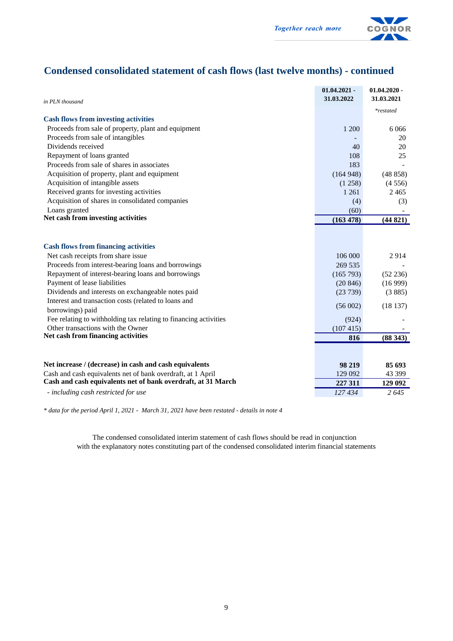

## **Condensed consolidated statement of cash flows (last twelve months) - continued**

| in PLN thousand                                                          | $01.04.2021 -$<br>31.03.2022 | $01.04.2020 -$<br>31.03.2021 |
|--------------------------------------------------------------------------|------------------------------|------------------------------|
|                                                                          |                              | *restated                    |
| <b>Cash flows from investing activities</b>                              |                              |                              |
| Proceeds from sale of property, plant and equipment                      | 1 200                        | 6 0 6 6                      |
| Proceeds from sale of intangibles                                        |                              | 20                           |
| Dividends received                                                       | 40                           | 20                           |
| Repayment of loans granted                                               | 108                          | 25                           |
| Proceeds from sale of shares in associates                               | 183                          |                              |
| Acquisition of property, plant and equipment                             | (164948)                     | (48858)                      |
| Acquisition of intangible assets                                         | (1258)                       | (4556)                       |
| Received grants for investing activities                                 | 1 2 6 1                      | 2465                         |
| Acquisition of shares in consolidated companies                          | (4)                          | (3)                          |
| Loans granted                                                            | (60)                         |                              |
| Net cash from investing activities                                       | (163 478)                    | (44821)                      |
| <b>Cash flows from financing activities</b>                              |                              |                              |
| Net cash receipts from share issue                                       | 106 000                      | 2914                         |
| Proceeds from interest-bearing loans and borrowings                      | 269 535                      |                              |
| Repayment of interest-bearing loans and borrowings                       | (165 793)                    | (52 236)                     |
| Payment of lease liabilities                                             | (20846)                      | (16999)                      |
| Dividends and interests on exchangeable notes paid                       | (23739)                      | (3885)                       |
| Interest and transaction costs (related to loans and<br>borrowings) paid | (56002)                      | (18137)                      |
| Fee relating to withholding tax relating to financing activities         | (924)                        |                              |
| Other transactions with the Owner                                        | (107415)                     |                              |
| Net cash from financing activities                                       | 816                          | (88343)                      |
|                                                                          |                              |                              |
| Net increase / (decrease) in cash and cash equivalents                   | 98 219                       | 85 693                       |
| Cash and cash equivalents net of bank overdraft, at 1 April              | 129 092                      | 43 399                       |
| Cash and cash equivalents net of bank overdraft, at 31 March             | 227 311                      | 129 092                      |
| - including cash restricted for use                                      | 127434                       | 2645                         |

*\* data for the period April 1, 2021 - March 31, 2021 have been restated - details in note 4*

The condensed consolidated interim statement of cash flows should be read in conjunction with the explanatory notes constituting part of the condensed consolidated interim financial statements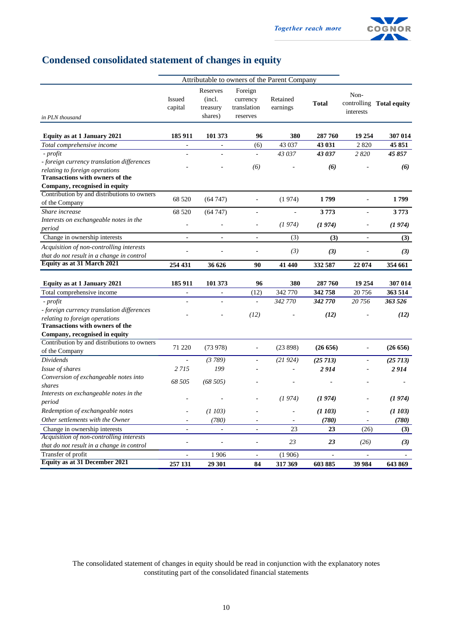

## **Condensed consolidated statement of changes in equity**

|                                                                                                                        |                          |                                           |                                                | Attributable to owners of the Parent Company |                          |                          |                          |
|------------------------------------------------------------------------------------------------------------------------|--------------------------|-------------------------------------------|------------------------------------------------|----------------------------------------------|--------------------------|--------------------------|--------------------------|
| in PLN thousand                                                                                                        | <b>Issued</b><br>capital | Reserves<br>(incl.<br>treasury<br>shares) | Foreign<br>currency<br>translation<br>reserves | Retained<br>earnings                         | <b>Total</b>             | Non-<br>interests        | controlling Total equity |
| Equity as at 1 January 2021                                                                                            | 185 911                  | 101 373                                   | 96                                             | 380                                          | 287 760                  | 19 254                   | 307 014                  |
| Total comprehensive income                                                                                             | $\mathcal{L}$            | $\mathbb{L}$                              | (6)                                            | 43 037                                       | 43 031                   | 2820                     | 45 851                   |
| - profit                                                                                                               | $\overline{a}$           | $\overline{a}$                            | $\mathbf{r}$                                   | 43 037                                       | 43 037                   | 2820                     | 45 857                   |
| - foreign currency translation differences<br>relating to foreign operations<br><b>Transactions with owners of the</b> |                          |                                           | (6)                                            |                                              | (6)                      |                          | (6)                      |
| Company, recognised in equity                                                                                          |                          |                                           |                                                |                                              |                          |                          |                          |
| Contribution by and distributions to owners<br>of the Company                                                          | 68 5 20                  | (64747)                                   | $\overline{\phantom{a}}$                       | (1974)                                       | 1799                     |                          | 1799                     |
| Share increase                                                                                                         | 68 5 20                  | (64747)                                   | $\blacksquare$                                 | $\blacksquare$                               | 3773                     | $\overline{a}$           | 3773                     |
| Interests on exchangeable notes in the<br>period                                                                       | ÷,                       |                                           | ÷.                                             | (1974)                                       | (1974)                   |                          | (1974)                   |
| Change in ownership interests                                                                                          | $\overline{a}$           | ÷,                                        | $\frac{1}{2}$                                  | (3)                                          | (3)                      | $\bar{\phantom{a}}$      | (3)                      |
| Acquisition of non-controlling interests<br>that do not result in a change in control                                  | L,                       | ÷,                                        | L,                                             | (3)                                          | (3)                      |                          | (3)                      |
| Equity as at 31 March 2021                                                                                             | 254 431                  | 36 626                                    | 90                                             | 41 440                                       | 332 587                  | 22 074                   | 354 661                  |
| Equity as at 1 January 2021                                                                                            | 185 911                  | 101 373                                   | 96                                             | 380                                          | 287 760                  | 19 254                   | 307 014                  |
| Total comprehensive income                                                                                             | $\blacksquare$           | $\Box$                                    | (12)                                           | 342 770                                      | 342758                   | 20 75 6                  | 363 514                  |
| - profit                                                                                                               | L.                       | L.                                        | $\bar{\phantom{a}}$                            | 342 770                                      | 342 770                  | 20756                    | 363 526                  |
| - foreign currency translation differences<br>relating to foreign operations<br><b>Transactions with owners of the</b> |                          |                                           | (12)                                           |                                              | (12)                     |                          | (12)                     |
| Company, recognised in equity                                                                                          |                          |                                           |                                                |                                              |                          |                          |                          |
| Contribution by and distributions to owners<br>of the Company                                                          | 71 220                   | (73978)                                   | ä,                                             | (23898)                                      | (26656)                  | $\overline{\phantom{a}}$ | (26 656)                 |
| <b>Dividends</b>                                                                                                       |                          | (3789)                                    | $\bar{\phantom{a}}$                            | (21924)                                      | (25713)                  | $\overline{\phantom{a}}$ | (25 713)                 |
| Issue of shares                                                                                                        | 2 7 1 5                  | 199                                       |                                                |                                              | 2914                     |                          | 2914                     |
| Conversion of exchangeable notes into<br>shares                                                                        | 68 505                   | (68505)                                   |                                                |                                              |                          |                          |                          |
| Interests on exchangeable notes in the<br>period                                                                       |                          |                                           | L,                                             | (1974)                                       | (1974)                   |                          | (1974)                   |
| Redemption of exchangeable notes                                                                                       |                          | (1103)                                    |                                                |                                              | (1103)                   |                          | (1103)                   |
| Other settlements with the Owner                                                                                       | ÷.                       | (780)                                     | ÷,                                             |                                              | (780)                    |                          | (780)                    |
| Change in ownership interests                                                                                          | $\blacksquare$           | $\overline{\phantom{a}}$                  | $\Box$                                         | 23                                           | 23                       | (26)                     | (3)                      |
| Acquisition of non-controlling interests<br>that do not result in a change in control                                  | $\overline{a}$           | ÷,                                        | L.                                             | 23                                           | 23                       | (26)                     | (3)                      |
| Transfer of profit                                                                                                     | $\sim$                   | 1906                                      | $\overline{\phantom{a}}$                       | (1906)                                       | $\overline{\phantom{a}}$ | $\sim$                   | $\sim$                   |
| <b>Equity as at 31 December 2021</b>                                                                                   | 257 131                  | 29 301                                    | 84                                             | 317 369                                      | 603885                   | 39 984                   | 643 869                  |

The consolidated statement of changes in equity should be read in conjunction with the explanatory notes constituting part of the consolidated financial statements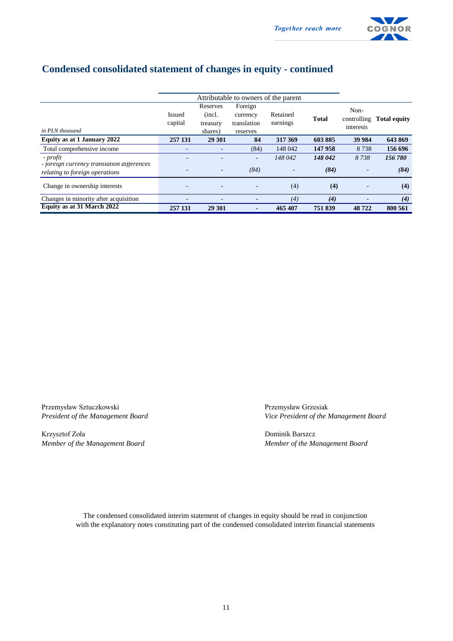

## **Condensed consolidated statement of changes in equity - continued**

|                                                                                          |                          |                                           | Attributable to owners of the parent           |                      |                 |                   |                          |
|------------------------------------------------------------------------------------------|--------------------------|-------------------------------------------|------------------------------------------------|----------------------|-----------------|-------------------|--------------------------|
| in PLN thousand                                                                          | <b>Issued</b><br>capital | Reserves<br>(incl.<br>treasury<br>shares) | Foreign<br>currency<br>translation<br>reserves | Retained<br>earnings | <b>Total</b>    | Non-<br>interests | controlling Total equity |
| Equity as at 1 January 2022                                                              | 257 131                  | 29 30 1                                   | 84                                             | 317 369              | 603885          | 39 984            | 643 869                  |
| Total comprehensive income                                                               | $\overline{\phantom{a}}$ |                                           | (84)                                           | 148 042              | 147 958         | 8738              | 156 696                  |
| - profit<br>- foreign currency translation differences<br>relating to foreign operations |                          | $\overline{\phantom{a}}$                  | ٠<br>(84)                                      | 148 042<br>٠         | 148 042<br>(84) | 8738              | 156780<br>(84)           |
| Change in ownership interests                                                            |                          |                                           |                                                | (4)                  | (4)             |                   | (4)                      |
| Changes in minority after acquisition                                                    |                          |                                           |                                                | (4)                  | (4)             |                   | (4)                      |
| Equity as at 31 March 2022                                                               | 257 131                  | 29 301                                    |                                                | 465 407              | 751839          | 48722             | 800 561                  |

Przemysław Sztuczkowski <br>
Przemysław Grzesiak <br>
Przemysław Grzesiak <br>
Vice President of the Nanagement Board<br>
Przemysław Grzesiak <br>
Vice President of the Nanagement Board

Krzysztof Zoła Dominik Barszcz *Member of the Management Board Member of the Management Board*

*President of the Management Board Vice President of the Management Board*

The condensed consolidated interim statement of changes in equity should be read in conjunction with the explanatory notes constituting part of the condensed consolidated interim financial statements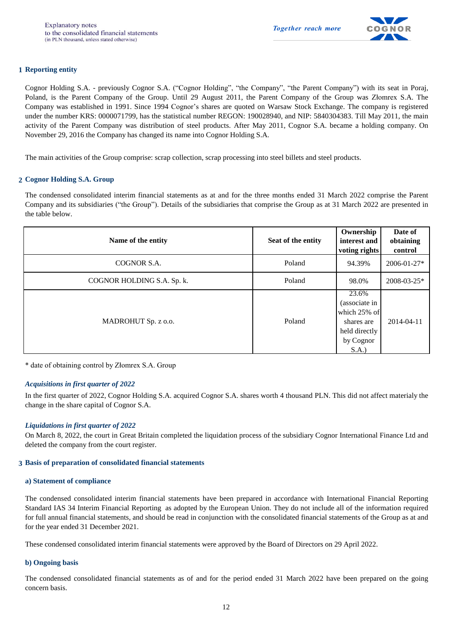

#### **1 Reporting entity**

Cognor Holding S.A. - previously Cognor S.A. ("Cognor Holding", "the Company", "the Parent Company") with its seat in Poraj, Poland, is the Parent Company of the Group. Until 29 August 2011, the Parent Company of the Group was Złomrex S.A. The Company was established in 1991. Since 1994 Cognor's shares are quoted on Warsaw Stock Exchange. The company is registered under the number KRS: 0000071799, has the statistical number REGON: 190028940, and NIP: 5840304383. Till May 2011, the main activity of the Parent Company was distribution of steel products. After May 2011, Cognor S.A. became a holding company. On November 29, 2016 the Company has changed its name into Cognor Holding S.A.

The main activities of the Group comprise: scrap collection, scrap processing into steel billets and steel products.

#### **2 Cognor Holding S.A. Group**

The condensed consolidated interim financial statements as at and for the three months ended 31 March 2022 comprise the Parent Company and its subsidiaries ("the Group"). Details of the subsidiaries that comprise the Group as at 31 March 2022 are presented in the table below.

| Name of the entity         | Seat of the entity | Ownership<br>interest and<br>voting rights                                                 | Date of<br>obtaining<br>control |
|----------------------------|--------------------|--------------------------------------------------------------------------------------------|---------------------------------|
| COGNOR S.A.                | Poland             | 94.39%                                                                                     | 2006-01-27*                     |
| COGNOR HOLDING S.A. Sp. k. | Poland             | 98.0%                                                                                      | 2008-03-25*                     |
| MADROHUT Sp. z o.o.        | Poland             | 23.6%<br>(associate in<br>which 25% of<br>shares are<br>held directly<br>by Cognor<br>S.A. | 2014-04-11                      |

\* date of obtaining control by Złomrex S.A. Group

#### *Acquisitions in first quarter of 2022*

In the first quarter of 2022, Cognor Holding S.A. acquired Cognor S.A. shares worth 4 thousand PLN. This did not affect materialy the change in the share capital of Cognor S.A.

#### *Liquidations in first quarter of 2022*

On March 8, 2022, the court in Great Britain completed the liquidation process of the subsidiary Cognor International Finance Ltd and deleted the company from the court register.

#### **3 Basis of preparation of consolidated financial statements**

#### **a) Statement of compliance**

The condensed consolidated interim financial statements have been prepared in accordance with International Financial Reporting Standard IAS 34 Interim Financial Reporting as adopted by the European Union. They do not include all of the information required for full annual financial statements, and should be read in conjunction with the consolidated financial statements of the Group as at and for the year ended 31 December 2021.

These condensed consolidated interim financial statements were approved by the Board of Directors on 29 April 2022.

#### **b) Ongoing basis**

The condensed consolidated financial statements as of and for the period ended 31 March 2022 have been prepared on the going concern basis.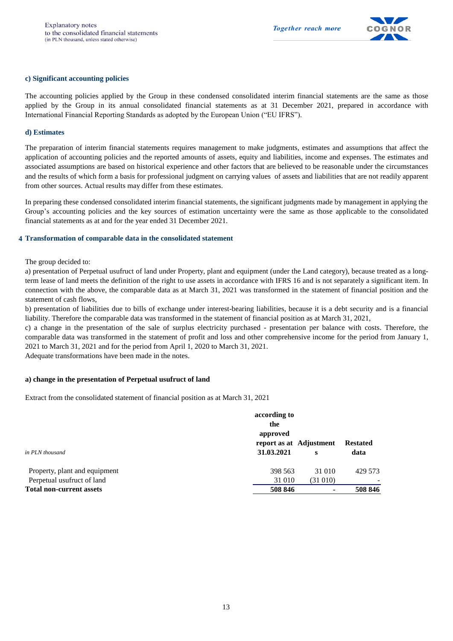

#### **c) Significant accounting policies**

The accounting policies applied by the Group in these condensed consolidated interim financial statements are the same as those applied by the Group in its annual consolidated financial statements as at 31 December 2021, prepared in accordance with International Financial Reporting Standards as adopted by the European Union ("EU IFRS").

#### **d) Estimates**

The preparation of interim financial statements requires management to make judgments, estimates and assumptions that affect the application of accounting policies and the reported amounts of assets, equity and liabilities, income and expenses. The estimates and associated assumptions are based on historical experience and other factors that are believed to be reasonable under the circumstances and the results of which form a basis for professional judgment on carrying values of assets and liabilities that are not readily apparent from other sources. Actual results may differ from these estimates.

In preparing these condensed consolidated interim financial statements, the significant judgments made by management in applying the Group's accounting policies and the key sources of estimation uncertainty were the same as those applicable to the consolidated financial statements as at and for the year ended 31 December 2021.

#### **4 Transformation of comparable data in the consolidated statement**

The group decided to:

a) presentation of Perpetual usufruct of land under Property, plant and equipment (under the Land category), because treated as a longterm lease of land meets the definition of the right to use assets in accordance with IFRS 16 and is not separately a significant item. In connection with the above, the comparable data as at March 31, 2021 was transformed in the statement of financial position and the statement of cash flows,

b) presentation of liabilities due to bills of exchange under interest-bearing liabilities, because it is a debt security and is a financial liability. Therefore the comparable data was transformed in the statement of financial position as at March 31, 2021,

c) a change in the presentation of the sale of surplus electricity purchased - presentation per balance with costs. Therefore, the comparable data was transformed in the statement of profit and loss and other comprehensive income for the period from January 1, 2021 to March 31, 2021 and for the period from April 1, 2020 to March 31, 2021.

Adequate transformations have been made in the notes.

#### **a) change in the presentation of Perpetual usufruct of land**

Extract from the consolidated statement of financial position as at March 31, 2021

|                                 | according to<br>the<br>approved       |         |                         |
|---------------------------------|---------------------------------------|---------|-------------------------|
| in PLN thousand                 | report as at Adjustment<br>31.03.2021 | s       | <b>Restated</b><br>data |
| Property, plant and equipment   | 398 563                               | 31 010  | 429 573                 |
| Perpetual usufruct of land      | 31 010                                | (31010) |                         |
| <b>Total non-current assets</b> | 508 846                               |         | 508 846                 |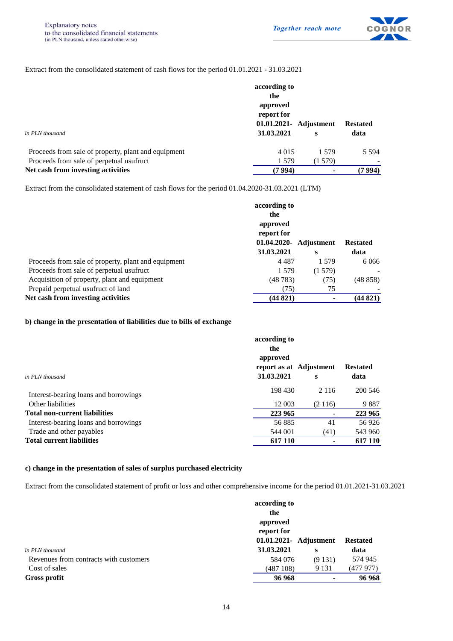

#### Extract from the consolidated statement of cash flows for the period 01.01.2021 - 31.03.2021

|                                                     | according to                         |        |                 |  |  |  |  |
|-----------------------------------------------------|--------------------------------------|--------|-----------------|--|--|--|--|
|                                                     | the                                  |        |                 |  |  |  |  |
|                                                     | approved                             |        |                 |  |  |  |  |
|                                                     | report for<br>01.01.2021- Adjustment |        |                 |  |  |  |  |
|                                                     |                                      |        | <b>Restated</b> |  |  |  |  |
| in PLN thousand                                     | 31.03.2021                           | S      | data            |  |  |  |  |
| Proceeds from sale of property, plant and equipment | 4 0 1 5                              | 1.579  | 5.594           |  |  |  |  |
| Proceeds from sale of perpetual usufruct            | 1 579                                | (1579) |                 |  |  |  |  |
| Net cash from investing activities                  | (7 994)                              | ۰      | (7 994)         |  |  |  |  |

Extract from the consolidated statement of cash flows for the period 01.04.2020-31.03.2021 (LTM)

|                                                     | according to<br>the<br>approved<br>report for<br>01.04.2020-<br>31.03.2021 | Adjustment<br>s | <b>Restated</b><br>data |
|-----------------------------------------------------|----------------------------------------------------------------------------|-----------------|-------------------------|
| Proceeds from sale of property, plant and equipment | 4 4 8 7                                                                    | 1.579           | 6 0 6 6                 |
| Proceeds from sale of perpetual usufruct            | 1 5 7 9                                                                    | (1579)          |                         |
| Acquisition of property, plant and equipment        | (48783)                                                                    | (75)            | (48858)                 |
| Prepaid perpetual usufruct of land                  | (75)                                                                       | 75              |                         |
| Net cash from investing activities                  | (44 821)                                                                   |                 | (44 821)                |

#### **b) change in the presentation of liabilities due to bills of exchange**

|                                       | according to<br>the                               |         |                         |  |  |  |  |
|---------------------------------------|---------------------------------------------------|---------|-------------------------|--|--|--|--|
| in PLN thousand                       | approved<br>report as at Adjustment<br>31.03.2021 | s       | <b>Restated</b><br>data |  |  |  |  |
| Interest-bearing loans and borrowings | 198 430                                           | 2 1 1 6 | 200 546                 |  |  |  |  |
| Other liabilities                     | 12 003                                            | (2116)  | 9887                    |  |  |  |  |
| <b>Total non-current liabilities</b>  | 223 965                                           | ۰       | 223 965                 |  |  |  |  |
| Interest-bearing loans and borrowings | 56885                                             | 41      | 56 926                  |  |  |  |  |
| Trade and other payables              | 544 001                                           | (41)    | 543 960                 |  |  |  |  |
| <b>Total current liabilities</b>      | 617 110                                           |         | 617 110                 |  |  |  |  |

#### **c) change in the presentation of sales of surplus purchased electricity**

Extract from the consolidated statement of profit or loss and other comprehensive income for the period 01.01.2021-31.03.2021

|                                        | according to           |         |                 |
|----------------------------------------|------------------------|---------|-----------------|
|                                        | the                    |         |                 |
|                                        | approved               |         |                 |
|                                        | report for             |         |                 |
|                                        | 01.01.2021- Adjustment |         | <b>Restated</b> |
| in PLN thousand                        | 31.03.2021             | s       | data            |
| Revenues from contracts with customers | 584 076                | (9131)  | 574 945         |
| Cost of sales                          | (487108)               | 9 1 3 1 | (477 977)       |
| Gross profit                           | 96968                  | ۰       | 96968           |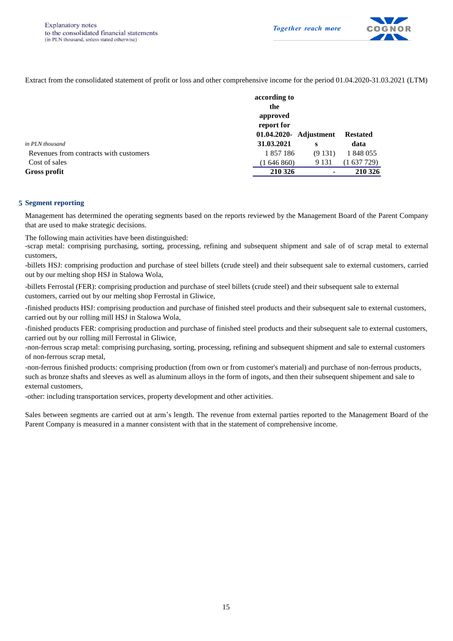

Extract from the consolidated statement of profit or loss and other comprehensive income for the period 01.04.2020-31.03.2021 (LTM)

|                                        | according to           |         |                 |
|----------------------------------------|------------------------|---------|-----------------|
|                                        | the                    |         |                 |
|                                        | approved               |         |                 |
|                                        | report for             |         |                 |
|                                        | 01.04.2020- Adjustment |         | <b>Restated</b> |
| in PLN thousand                        | 31.03.2021             | s       | data            |
| Revenues from contracts with customers | 1857186                | (9131)  | 1 848 055       |
| Cost of sales                          | (1646860)              | 9 1 3 1 | (1637729)       |
| Gross profit                           | 210 326                | ۰       | 210 326         |

#### **5 Segment reporting**

Management has determined the operating segments based on the reports reviewed by the Management Board of the Parent Company that are used to make strategic decisions.

The following main activities have been distinguished:

-scrap metal: comprising purchasing, sorting, processing, refining and subsequent shipment and sale of of scrap metal to external customers,

-billets HSJ: comprising production and purchase of steel billets (crude steel) and their subsequent sale to external customers, carried out by our melting shop HSJ in Stalowa Wola,

-billets Ferrostal (FER): comprising production and purchase of steel billets (crude steel) and their subsequent sale to external customers, carried out by our melting shop Ferrostal in Gliwice,

-finished products HSJ: comprising production and purchase of finished steel products and their subsequent sale to external customers, carried out by our rolling mill HSJ in Stalowa Wola,

-finished products FER: comprising production and purchase of finished steel products and their subsequent sale to external customers, carried out by our rolling mill Ferrostal in Gliwice,

-non-ferrous scrap metal: comprising purchasing, sorting, processing, refining and subsequent shipment and sale to external customers of non-ferrous scrap metal,

-non-ferrous finished products: comprising production (from own or from customer's material) and purchase of non-ferrous products, such as bronze shafts and sleeves as well as aluminum alloys in the form of ingots, and then their subsequent shipement and sale to external customers,

-other: including transportation services, property development and other activities.

Sales between segments are carried out at arm's length. The revenue from external parties reported to the Management Board of the Parent Company is measured in a manner consistent with that in the statement of comprehensive income.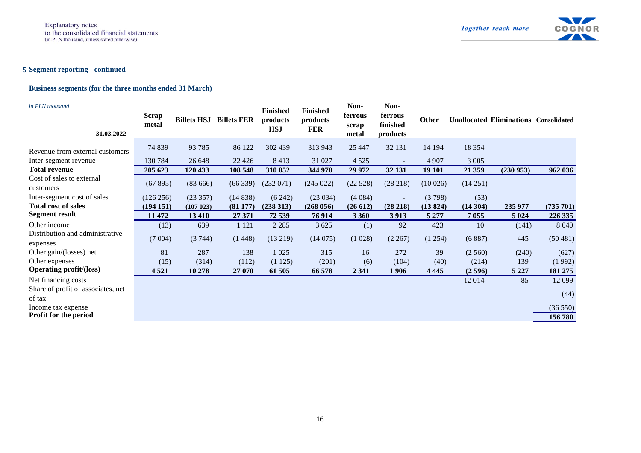

#### **5 Segment reporting - continued**

#### **Business segments (for the three months ended 31 March)**

| in PLN thousand<br>31.03.2022                | <b>Scrap</b><br>metal | <b>Billets HSJ</b> | <b>Billets FER</b> | <b>Finished</b><br>products<br><b>HSJ</b> | <b>Finished</b><br>products<br><b>FER</b> | Non-<br>ferrous<br>scrap<br>metal | Non-<br>ferrous<br>finished<br>products | <b>Other</b> |          | <b>Unallocated Eliminations Consolidated</b> |           |
|----------------------------------------------|-----------------------|--------------------|--------------------|-------------------------------------------|-------------------------------------------|-----------------------------------|-----------------------------------------|--------------|----------|----------------------------------------------|-----------|
| Revenue from external customers              | 74 839                | 93 7 85            | 86 122             | 302 439                                   | 313 943                                   | 25 447                            | 32 131                                  | 14 194       | 18 3 5 4 |                                              |           |
| Inter-segment revenue                        | 130784                | 26 648             | 22 4 26            | 8413                                      | 31 027                                    | 4 5 2 5                           | $\sim$                                  | 4 9 0 7      | 3 0 0 5  |                                              |           |
| <b>Total revenue</b>                         | 205 623               | 120 433            | 108 548            | 310 852                                   | 344 970                                   | 29 972                            | 32 131                                  | 19 10 1      | 21 359   | (230953)                                     | 962 036   |
| Cost of sales to external<br>customers       | (67895)               | (83666)            | (66339)            | (232071)                                  | (245 022)                                 | (22528)                           | (28 218)                                | (10026)      | (14251)  |                                              |           |
| Inter-segment cost of sales                  | (126 256)             | (23357)            | (14838)            | (6242)                                    | (23034)                                   | (4084)                            | $\sim$                                  | (3798)       | (53)     |                                              |           |
| <b>Total cost of sales</b>                   | (194151)              | (107 023)          | (81177)            | (238313)                                  | (268056)                                  | (26612)                           | (28 218)                                | (13824)      | (14304)  | 235 977                                      | (735 701) |
| <b>Segment result</b>                        | 11 472                | 13 4 10            | 27 371             | 72 539                                    | 76914                                     | 3 3 6 0                           | 3 9 13                                  | 5 2 7 7      | 7 0 5 5  | 5 0 24                                       | 226 335   |
| Other income                                 | (13)                  | 639                | 1 1 2 1            | 2 2 8 5                                   | 3 6 25                                    | (1)                               | 92                                      | 423          | 10       | (141)                                        | 8 0 4 0   |
| Distribution and administrative<br>expenses  | (7004)                | (3744)             | (1448)             | (13 219)                                  | (14075)                                   | (1028)                            | (2 267)                                 | (1254)       | (6887)   | 445                                          | (50481)   |
| Other gain/(losses) net                      | 81                    | 287                | 138                | 1 0 2 5                                   | 315                                       | 16                                | 272                                     | 39           | (2560)   | (240)                                        | (627)     |
|                                              |                       |                    |                    |                                           |                                           |                                   |                                         |              |          |                                              |           |
| Other expenses                               | (15)                  | (314)              | (112)              | (1125)                                    | (201)                                     | (6)                               | (104)                                   | (40)         | (214)    | 139                                          | (1992)    |
| <b>Operating profit/(loss)</b>               | 4521                  | 10 278             | 27 070             | 61 50 5                                   | 66 578                                    | 2 3 4 1                           | <b>1906</b>                             | 4 4 4 5      | (2596)   | 5 2 2 7                                      | 181 275   |
| Net financing costs                          |                       |                    |                    |                                           |                                           |                                   |                                         |              | 12014    | 85                                           | 12 099    |
| Share of profit of associates, net<br>of tax |                       |                    |                    |                                           |                                           |                                   |                                         |              |          |                                              | (44)      |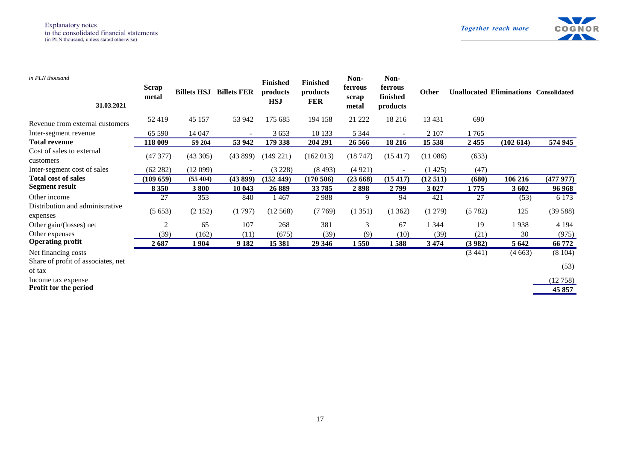

| in PLN thousand<br>31.03.2021                | <b>Scrap</b><br>metal | <b>Billets HSJ</b> | <b>Billets FER</b>       | <b>Finished</b><br>products<br><b>HSJ</b> | <b>Finished</b><br>products<br><b>FER</b> | Non-<br>ferrous<br>scrap<br>metal | Non-<br>ferrous<br>finished<br>products | <b>Other</b> |        | <b>Unallocated Eliminations Consolidated</b> |          |
|----------------------------------------------|-----------------------|--------------------|--------------------------|-------------------------------------------|-------------------------------------------|-----------------------------------|-----------------------------------------|--------------|--------|----------------------------------------------|----------|
| Revenue from external customers              | 52419                 | 45 157             | 53 942                   | 175 685                                   | 194 158                                   | 21 222                            | 18 216                                  | 13 4 31      | 690    |                                              |          |
| Inter-segment revenue                        | 65 590                | 14 047             |                          | 3653                                      | 10 133                                    | 5 3 4 4                           |                                         | 2 1 0 7      | 1765   |                                              |          |
| <b>Total revenue</b>                         | 118 009               | 59 204             | 53 942                   | 179 338                                   | 204 291                                   | 26 56 6                           | 18 216                                  | 15 538       | 2455   | (102614)                                     | 574 945  |
| Cost of sales to external<br>customers       | (47377)               | (43305)            | (43899)                  | $(149\,221)$                              | (162 013)                                 | (18747)                           | (15417)                                 | (11086)      | (633)  |                                              |          |
| Inter-segment cost of sales                  | (62 282)              | (12099)            | $\overline{\phantom{a}}$ | (3 228)                                   | (8493)                                    | (4921)                            |                                         | (1425)       | (47)   |                                              |          |
| <b>Total cost of sales</b>                   | (109659)              | (55404)            | (43899)                  | (152 449)                                 | (170506)                                  | (23668)                           | (15 417)                                | (12511)      | (680)  | 106 216                                      | (477977) |
| Segment result                               | 8 3 5 0               | 3800               | 10 043                   | 26889                                     | 33785                                     | 2898                              | 2799                                    | 3 0 27       | 1775   | 3602                                         | 96968    |
| Other income                                 | 27                    | 353                | 840                      | 1467                                      | 2988                                      | 9                                 | 94                                      | 421          | 27     | (53)                                         | 6 1 7 3  |
| Distribution and administrative<br>expenses  | (5653)                | (2152)             | (1797)                   | (12568)                                   | (7769)                                    | (1351)                            | (1362)                                  | (1279)       | (5782) | 125                                          | (39588)  |
| Other gain/(losses) net                      | 2                     | 65                 | 107                      | 268                                       | 381                                       | 3                                 | 67                                      | 1 3 4 4      | 19     | 1938                                         | 4 1 9 4  |
| Other expenses                               | (39)                  | (162)              | (11)                     | (675)                                     | (39)                                      | (9)                               | (10)                                    | (39)         | (21)   | 30                                           | (975)    |
| <b>Operating profit</b>                      | 2687                  | 1 9 0 4            | 9 1 8 2                  | 15 381                                    | 29 346                                    | 1550                              | 1588                                    | 3474         | (3982) | 5 6 4 2                                      | 66 772   |
| Net financing costs                          |                       |                    |                          |                                           |                                           |                                   |                                         |              | (3441) | (4663)                                       | (8104)   |
| Share of profit of associates, net<br>of tax |                       |                    |                          |                                           |                                           |                                   |                                         |              |        |                                              | (53)     |
| Income tax expense                           |                       |                    |                          |                                           |                                           |                                   |                                         |              |        |                                              | (12758)  |
| <b>Profit for the period</b>                 |                       |                    |                          |                                           |                                           |                                   |                                         |              |        |                                              | 45 857   |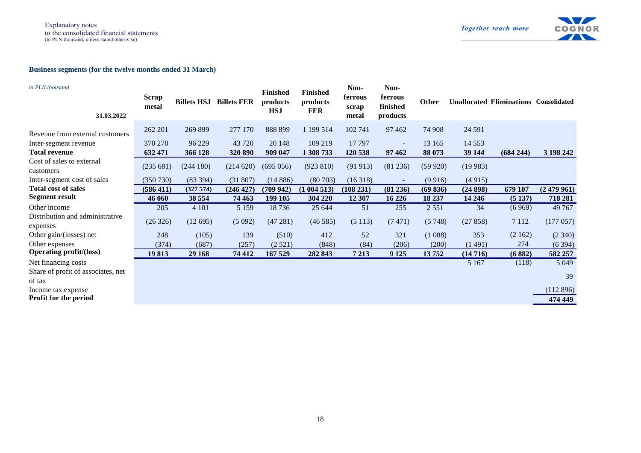

#### **Business segments (for the twelve months ended 31 March)**

| in PLN thousand<br>31.03.2022                      | <b>Scrap</b><br>metal | <b>Billets HSJ</b> | <b>Billets FER</b> | <b>Finished</b><br>products<br><b>HSJ</b> | <b>Finished</b><br>products<br><b>FER</b> | Non-<br>ferrous<br>scrap<br>metal | Non-<br>ferrous<br>finished<br>products | <b>Other</b> |          | <b>Unallocated Eliminations Consolidated</b> |           |
|----------------------------------------------------|-----------------------|--------------------|--------------------|-------------------------------------------|-------------------------------------------|-----------------------------------|-----------------------------------------|--------------|----------|----------------------------------------------|-----------|
| Revenue from external customers                    | 262 201               | 269 899            | 277 170            | 888 899                                   | 1 199 5 14                                | 102 741                           | 97 4 62                                 | 74 908       | 24 5 91  |                                              |           |
| Inter-segment revenue                              | 370 270               | 96 229             | 43 720             | 20 148                                    | 109 219                                   | 17 797                            | $\sim$                                  | 13 165       | 14 5 5 3 |                                              |           |
| <b>Total revenue</b>                               | 632 471               | 366 128            | 320 890            | 909 047                                   | 1 308 733                                 | 120 538                           | 97 4 62                                 | 88 073       | 39 144   | (684 244)                                    | 3 198 242 |
| Cost of sales to external<br>customers             | (235 681)             | (244180)           | (214620)           | (695 056)                                 | (923 810)                                 | (91913)                           | (81 236)                                | (59920)      | (19983)  |                                              |           |
| Inter-segment cost of sales                        | (350 730)             | (83 394)           | (31807)            | (14886)                                   | (80703)                                   | (16318)                           | $\sim$                                  | (9916)       | (4915)   |                                              |           |
| <b>Total cost of sales</b>                         | (586 411)             | (327574)           | (246 427)          | (709942)                                  | (1004513)                                 | (108 231)                         | (81 236)                                | (69836)      | (24898)  | 679 107                                      | (2479961) |
| <b>Segment result</b>                              | 46 060                | 38 554             | 74 463             | 199 105                                   | 304 220                                   | 12 307                            | 16 2 26                                 | 18 237       | 14 24 6  | (5137)                                       | 718 281   |
| Other income                                       | 205                   | 4 1 0 1            | 5 1 5 9            | 18736                                     | 25 644                                    | 51                                | 255                                     | 2551         | 34       | (6969)                                       | 49 7 67   |
| Distribution and administrative<br>expenses        | (26 326)              | (12695)            | (5092)             | (47281)                                   | (46585)                                   | (5113)                            | (7471)                                  | (5748)       | (27858)  | 7 1 1 2                                      | (177057)  |
| Other gain/(losses) net                            | 248                   | (105)              | 139                | (510)                                     | 412                                       | 52                                | 321                                     | (1088)       | 353      | (2162)                                       | (2340)    |
| Other expenses                                     | (374)                 | (687)              | (257)              | (2521)                                    | (848)                                     | (84)                              | (206)                                   | (200)        | (1491)   | 274                                          | (6394)    |
| <b>Operating profit/(loss)</b>                     | 19813                 | 29 168             | 74 412             | 167 529                                   | 282 843                                   | 7 2 1 3                           | 9 1 25                                  | 13752        | (14716)  | (6882)                                       | 582 257   |
| Net financing costs                                |                       |                    |                    |                                           |                                           |                                   |                                         |              | 5 1 6 7  | (118)                                        | 5 0 4 9   |
| Share of profit of associates, net                 |                       |                    |                    |                                           |                                           |                                   |                                         |              |          |                                              | 39        |
| of tax                                             |                       |                    |                    |                                           |                                           |                                   |                                         |              |          |                                              |           |
| Income tax expense<br><b>Profit for the period</b> |                       |                    |                    |                                           |                                           |                                   |                                         |              |          |                                              | (112 896) |
|                                                    |                       |                    |                    |                                           |                                           |                                   |                                         |              |          |                                              |           |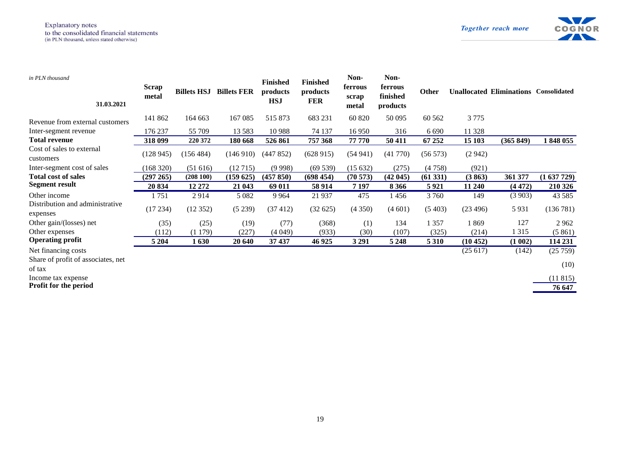

| in PLN thousand<br>31.03.2021                | <b>Scrap</b><br>metal | <b>Billets HSJ</b> | <b>Billets FER</b> | <b>Finished</b><br>products<br><b>HSJ</b> | <b>Finished</b><br>products<br><b>FER</b> | Non-<br>ferrous<br>scrap<br>metal | Non-<br>ferrous<br>finished<br>products | <b>Other</b> |          | <b>Unallocated Eliminations Consolidated</b> |           |
|----------------------------------------------|-----------------------|--------------------|--------------------|-------------------------------------------|-------------------------------------------|-----------------------------------|-----------------------------------------|--------------|----------|----------------------------------------------|-----------|
| Revenue from external customers              | 141 862               | 164 663            | 167 085            | 515 873                                   | 683 231                                   | 60 820                            | 50 0 95                                 | 60 5 62      | 3 7 7 5  |                                              |           |
| Inter-segment revenue                        | 176 237               | 55 709             | 13 5 8 3           | 10 9 88                                   | 74 137                                    | 16 950                            | 316                                     | 6 6 9 0      | 11 328   |                                              |           |
| <b>Total revenue</b>                         | 318 099               | 220 372            | 180 668            | 526 861                                   | 757 368                                   | 77 770                            | 50 411                                  | 67 25 2      | 15 103   | (365 849)                                    | 1848055   |
| Cost of sales to external<br>customers       | (128945)              | (156 484)          | (146910)           | (447852)                                  | (628915)                                  | (54941)                           | (41770)                                 | (56573)      | (2942)   |                                              |           |
| Inter-segment cost of sales                  | (168 320)             | (51616)            | (12715)            | (9998)                                    | (69539)                                   | (15632)                           | (275)                                   | (4758)       | (921)    |                                              |           |
| <b>Total cost of sales</b>                   | (297 265)             | (208100)           | (159625)           | (457 850)                                 | (698454)                                  | (70573)                           | (42045)                                 | (61331)      | (3863)   | 361 377                                      | (1637729) |
| <b>Segment result</b>                        | 20 834                | 12 27 2            | 21 043             | 69 011                                    | 58 9 14                                   | 7 1 9 7                           | 8 3 6 6                                 | 5921         | 11 240   | (4472)                                       | 210 326   |
| Other income                                 | 1751                  | 2914               | 5 0 8 2            | 9 9 6 4                                   | 21 9 37                                   | 475                               | 1 456                                   | 3760         | 149      | (3903)                                       | 43 5 8 5  |
| Distribution and administrative<br>expenses  | (17234)               | (12352)            | (5239)             | (37 412)                                  | (32625)                                   | (4350)                            | (4601)                                  | (5403)       | (23496)  | 5931                                         | (136781)  |
| Other gain/(losses) net                      | (35)                  | (25)               | (19)               | (77)                                      | (368)                                     | (1)                               | 134                                     | 1 357        | 1869     | 127                                          | 2962      |
| Other expenses                               | (112)                 | (1179)             | (227)              | (4049)                                    | (933)                                     | (30)                              | (107)                                   | (325)        | (214)    | 1 3 1 5                                      | (5861)    |
| <b>Operating profit</b>                      | 5 2 0 4               | 1630               | 20 640             | 37 437                                    | 46 9 25                                   | 3 2 9 1                           | 5 2 4 8                                 | 5 3 1 0      | (10 452) | (1002)                                       | 114 231   |
| Net financing costs                          |                       |                    |                    |                                           |                                           |                                   |                                         |              | (25617)  | (142)                                        | (25759)   |
| Share of profit of associates, net<br>of tax |                       |                    |                    |                                           |                                           |                                   |                                         |              |          |                                              | (10)      |
| Income tax expense                           |                       |                    |                    |                                           |                                           |                                   |                                         |              |          |                                              | (11815)   |
| <b>Profit for the period</b>                 |                       |                    |                    |                                           |                                           |                                   |                                         |              |          |                                              | 76 647    |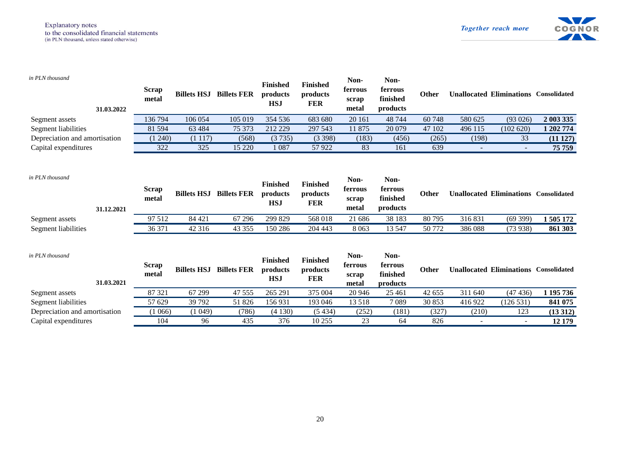

| in PLN thousand<br>31.03.2022 | <b>Scrap</b><br>metal | <b>Billets HSJ</b> | <b>Billets FER</b> | <b>Finished</b><br>products<br><b>HSJ</b> | <b>Finished</b><br>products<br><b>FER</b> | Non-<br>ferrous<br>scrap<br>metal | Non-<br>ferrous<br>finished<br>products | <b>Other</b> |                          | <b>Unallocated Eliminations Consolidated</b> |           |
|-------------------------------|-----------------------|--------------------|--------------------|-------------------------------------------|-------------------------------------------|-----------------------------------|-----------------------------------------|--------------|--------------------------|----------------------------------------------|-----------|
| Segment assets                | 136794                | 106 054            | 105 019            | 354 536                                   | 683 680                                   | 20 16 1                           | 48744                                   | 60748        | 580 625                  | (93 026)                                     | 2 003 335 |
| Segment liabilities           | 81 5 94               | 63 4 84            | 75 373             | 212 229                                   | 297 543                                   | 11 875                            | 20 079                                  | 47 102       | 496 115                  | (102 620)                                    | 1 202 774 |
| Depreciation and amortisation | (1240)                | (1117)             | (568)              | (3735)                                    | (3398)                                    | (183)                             | (456)                                   | (265)        | (198)                    | 33                                           | (11 127)  |
| Capital expenditures          | 322                   | 325                | 15 220             | 1 0 8 7                                   | 57922                                     | 83                                | 161                                     | 639          | $\overline{\phantom{a}}$ | $\overline{\phantom{a}}$                     | 75 759    |
| in PLN thousand<br>31.12.2021 | <b>Scrap</b><br>metal | <b>Billets HSJ</b> | <b>Billets FER</b> | <b>Finished</b><br>products<br><b>HSJ</b> | <b>Finished</b><br>products<br><b>FER</b> | Non-<br>ferrous<br>scrap<br>metal | Non-<br>ferrous<br>finished<br>products | Other        |                          | <b>Unallocated Eliminations Consolidated</b> |           |
| Segment assets                | 97 512                | 84 421             | 67 29 6            | 299 829                                   | 568 018                                   | 21 686                            | 38 183                                  | 80795        | 316831                   | (69399)                                      | 1505172   |
| Segment liabilities           | 36 371                | 42 316             | 43 355             | 150 286                                   | 204 443                                   | 8 0 6 3                           | 13 5 47                                 | 50772        | 386 088                  | (73938)                                      | 861 303   |
| in PLN thousand<br>31.03.2021 | <b>Scrap</b><br>metal | <b>Billets HSJ</b> | <b>Billets FER</b> | <b>Finished</b><br>products<br><b>HSJ</b> | <b>Finished</b><br>products<br><b>FER</b> | Non-<br>ferrous<br>scrap<br>metal | Non-<br>ferrous<br>finished<br>products | <b>Other</b> |                          | <b>Unallocated Eliminations Consolidated</b> |           |
| Segment assets                | 87 321                | 67 299             | 47 555             | 265 291                                   | 375 004                                   | 20 946                            | 25 4 61                                 | 42 655       | 311 640                  | (47436)                                      | 1 195 736 |
| Segment liabilities           | 57 629                | 39 792             | 51 826             | 156931                                    | 193 046                                   | 13 5 18                           | 7089                                    | 30 853       | 416 922                  | (126531)                                     | 841 075   |
| Depreciation and amortisation | (1066)                | (1049)             | (786)              | (4130)                                    | (5434)                                    | (252)                             | (181)                                   | (327)        | (210)                    | 123                                          | (13312)   |
| Capital expenditures          | 104                   | 96                 | 435                | 376                                       | 10 255                                    | 23                                | 64                                      | 826          |                          |                                              | 12 179    |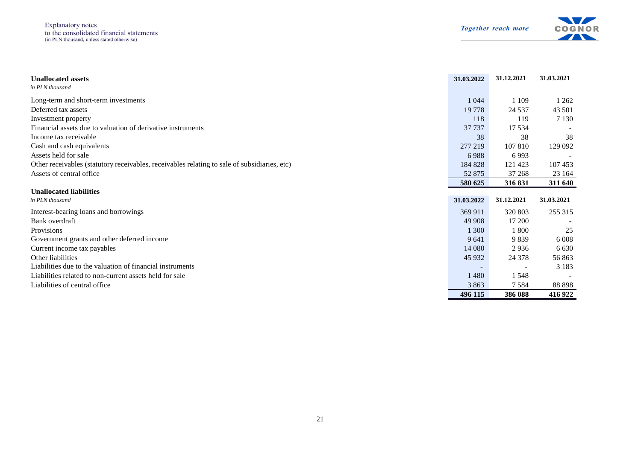**Explanatory** notes to the consolidated financial statements<br>(in PLN thousand, unless stated otherwise)



| <b>Unallocated assets</b><br>in PLN thousand                                                 | 31.03.2022               | 31.12.2021               | 31.03.2021 |
|----------------------------------------------------------------------------------------------|--------------------------|--------------------------|------------|
| Long-term and short-term investments                                                         | 1 0 4 4                  | 1 1 0 9                  | 1 2 6 2    |
| Deferred tax assets                                                                          | 19 7 78                  | 24 5 37                  | 43 501     |
| Investment property                                                                          | 118                      | 119                      | 7 1 3 0    |
| Financial assets due to valuation of derivative instruments                                  | 37 737                   | 17 5 34                  |            |
| Income tax receivable                                                                        | 38                       | 38                       | 38         |
| Cash and cash equivalents                                                                    | 277 219                  | 107 810                  | 129 092    |
| Assets held for sale                                                                         | 6988                     | 6993                     |            |
| Other receivables (statutory receivables, receivables relating to sale of subsidiaries, etc) | 184 828                  | 121 423                  | 107 453    |
| Assets of central office                                                                     | 52 875                   | 37 268                   | 23 164     |
|                                                                                              | 580 625                  | 316 831                  | 311 640    |
| <b>Unallocated liabilities</b>                                                               |                          |                          |            |
| in PLN thousand                                                                              | 31.03.2022               | 31.12.2021               | 31.03.2021 |
| Interest-bearing loans and borrowings                                                        | 369 911                  | 320 803                  | 255 315    |
| Bank overdraft                                                                               | 49 908                   | 17 200                   |            |
| Provisions                                                                                   | 1 300                    | 1 800                    | 25         |
| Government grants and other deferred income                                                  | 9641                     | 9839                     | 6 0 0 8    |
| Current income tax payables                                                                  | 14 080                   | 2936                     | 6 6 3 0    |
| Other liabilities                                                                            | 45 932                   | 24 378                   | 56863      |
| Liabilities due to the valuation of financial instruments                                    | $\overline{\phantom{a}}$ | $\overline{\phantom{a}}$ | 3 1 8 3    |
| Liabilities related to non-current assets held for sale                                      | 1480                     | 1 5 4 8                  |            |
| Liabilities of central office.                                                               | 3 8 6 3                  | 7584                     | 88 898     |
|                                                                                              | 496 115                  | 386 088                  | 416 922    |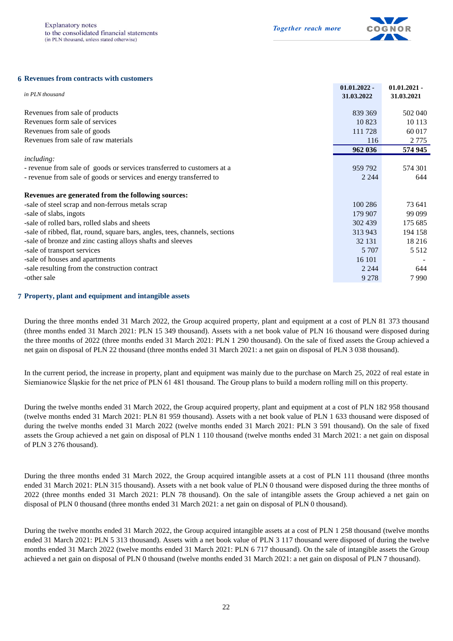

#### **6 Revenues from contracts with customers**

| in PLN thousand                                                             | $01.01.2022 -$<br>31.03.2022 | $01.01.2021 -$<br>31.03.2021 |
|-----------------------------------------------------------------------------|------------------------------|------------------------------|
| Revenues from sale of products                                              | 839 369                      | 502 040                      |
| Revenues form sale of services                                              | 10823                        | 10 1 13                      |
| Revenues from sale of goods                                                 | 111 728                      | 60 017                       |
| Revenues from sale of raw materials                                         | 116                          | 2 7 7 5                      |
|                                                                             | 962 036                      | 574 945                      |
| <i>including:</i>                                                           |                              |                              |
| - revenue from sale of goods or services transferred to customers at a      | 959 792                      | 574 301                      |
| - revenue from sale of goods or services and energy transferred to          | 2 2 4 4                      | 644                          |
| Revenues are generated from the following sources:                          |                              |                              |
| -sale of steel scrap and non-ferrous metals scrap                           | 100 286                      | 73 641                       |
| -sale of slabs, ingots                                                      | 179 907                      | 99 099                       |
| -sale of rolled bars, rolled slabs and sheets                               | 302 439                      | 175 685                      |
| -sale of ribbed, flat, round, square bars, angles, tees, channels, sections | 313 943                      | 194 158                      |
| -sale of bronze and zinc casting alloys shafts and sleeves                  | 32 131                       | 18 2 16                      |
| -sale of transport services                                                 | 5 7 0 7                      | 5 5 1 2                      |
| -sale of houses and apartments                                              | 16 10 1                      |                              |
| -sale resulting from the construction contract                              | 2 2 4 4                      | 644                          |
| -other sale                                                                 | 9 2 7 8                      | 7990                         |

#### **7** Property, plant and equipment and intangible assets

During the three months ended 31 March 2022, the Group acquired property, plant and equipment at a cost of PLN 81 373 thousand (three months ended 31 March 2021: PLN 15 349 thousand). Assets with a net book value of PLN 16 thousand were disposed during the three months of 2022 (three months ended 31 March 2021: PLN 1 290 thousand). On the sale of fixed assets the Group achieved a net gain on disposal of PLN 22 thousand (three months ended 31 March 2021: a net gain on disposal of PLN 3 038 thousand).

In the current period, the increase in property, plant and equipment was mainly due to the purchase on March 25, 2022 of real estate in Siemianowice Śląskie for the net price of PLN 61 481 thousand. The Group plans to build a modern rolling mill on this property.

During the twelve months ended 31 March 2022, the Group acquired property, plant and equipment at a cost of PLN 182 958 thousand (twelve months ended 31 March 2021: PLN 81 959 thousand). Assets with a net book value of PLN 1 633 thousand were disposed of during the twelve months ended 31 March 2022 (twelve months ended 31 March 2021: PLN 3 591 thousand). On the sale of fixed assets the Group achieved a net gain on disposal of PLN 1 110 thousand (twelve months ended 31 March 2021: a net gain on disposal of PLN 3 276 thousand).

During the three months ended 31 March 2022, the Group acquired intangible assets at a cost of PLN 111 thousand (three months ended 31 March 2021: PLN 315 thousand). Assets with a net book value of PLN 0 thousand were disposed during the three months of 2022 (three months ended 31 March 2021: PLN 78 thousand). On the sale of intangible assets the Group achieved a net gain on disposal of PLN 0 thousand (three months ended 31 March 2021: a net gain on disposal of PLN 0 thousand).

During the twelve months ended 31 March 2022, the Group acquired intangible assets at a cost of PLN 1 258 thousand (twelve months ended 31 March 2021: PLN 5 313 thousand). Assets with a net book value of PLN 3 117 thousand were disposed of during the twelve months ended 31 March 2022 (twelve months ended 31 March 2021: PLN 6 717 thousand). On the sale of intangible assets the Group achieved a net gain on disposal of PLN 0 thousand (twelve months ended 31 March 2021: a net gain on disposal of PLN 7 thousand).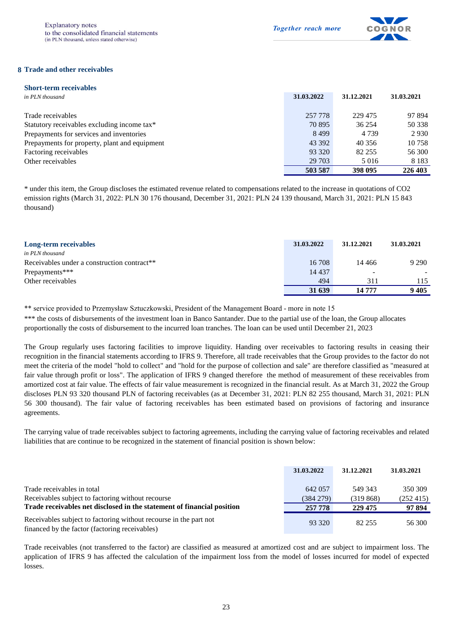

#### **8 Trade and other receivables**

| <b>Short-term receivables</b>                 |            |            |            |
|-----------------------------------------------|------------|------------|------------|
| in PLN thousand                               | 31.03.2022 | 31.12.2021 | 31.03.2021 |
|                                               |            |            |            |
| Trade receivables                             | 257 778    | 229 475    | 97 894     |
| Statutory receivables excluding income tax*   | 70 895     | 36 254     | 50 338     |
| Prepayments for services and inventories      | 8499       | 4 7 3 9    | 2930       |
| Prepayments for property, plant and equipment | 43 392     | 40 35 6    | 10 758     |
| Factoring receivables                         | 93 320     | 82 255     | 56 300     |
| Other receivables                             | 29 703     | 5 0 1 6    | 8 1 8 3    |
|                                               | 503 587    | 398 095    | 226 403    |

\* under this item, the Group discloses the estimated revenue related to compensations related to the increase in quotations of CO2 emission rights (March 31, 2022: PLN 30 176 thousand, December 31, 2021: PLN 24 139 thousand, March 31, 2021: PLN 15 843 thousand)

| Long-term receivables                                   | 31.03.2022 | 31.12.2021               | 31.03.2021 |
|---------------------------------------------------------|------------|--------------------------|------------|
| in PLN thousand                                         |            |                          |            |
| Receivables under a construction contract <sup>**</sup> | 16 708     | 14 4 6 6                 | 9 2 9 0    |
| Prepayments***                                          | 14 4 3 7   | $\overline{\phantom{a}}$ |            |
| Other receivables                                       | 494        | 311                      | 115        |
|                                                         | 31 639     | 14 777                   | 9405       |

\*\* service provided to Przemysław Sztuczkowski, President of the Management Board - more in note 15

\*\*\* the costs of disbursements of the investment loan in Banco Santander. Due to the partial use of the loan, the Group allocates proportionally the costs of disbursement to the incurred loan tranches. The loan can be used until December 21, 2023

The Group regularly uses factoring facilities to improve liquidity. Handing over receivables to factoring results in ceasing their recognition in the financial statements according to IFRS 9. Therefore, all trade receivables that the Group provides to the factor do not meet the criteria of the model "hold to collect" and "hold for the purpose of collection and sale" are therefore classified as "measured at fair value through profit or loss". The application of IFRS 9 changed therefore the method of measurement of these receivables from amortized cost at fair value. The effects of fair value measurement is recognized in the financial result. As at March 31, 2022 the Group discloses PLN 93 320 thousand PLN of factoring receivables (as at December 31, 2021: PLN 82 255 thousand, March 31, 2021: PLN 56 300 thousand). The fair value of factoring receivables has been estimated based on provisions of factoring and insurance agreements.

The carrying value of trade receivables subject to factoring agreements, including the carrying value of factoring receivables and related liabilities that are continue to be recognized in the statement of financial position is shown below:

|                                                                                                                     | 31.03.2022              | 31.12.2021          | 31.03.2021          |
|---------------------------------------------------------------------------------------------------------------------|-------------------------|---------------------|---------------------|
| Trade receivables in total<br>Receivables subject to factoring without recourse                                     | 642 057<br>$(384\ 279)$ | 549 343<br>(319868) | 350 309<br>(252415) |
| Trade receivables net disclosed in the statement of financial position                                              | 257 778                 | 229 475             | 97 894              |
| Receivables subject to factoring without recourse in the part not<br>financed by the factor (factoring receivables) | 93 320                  | 82.255              | 56 300              |

Trade receivables (not transferred to the factor) are classified as measured at amortized cost and are subject to impairment loss. The application of IFRS 9 has affected the calculation of the impairment loss from the model of losses incurred for model of expected losses.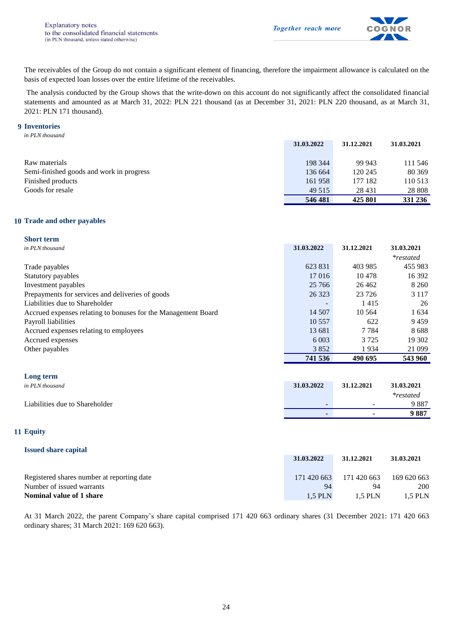

The receivables of the Group do not contain a significant element of financing, therefore the impairment allowance is calculated on the basis of expected loan losses over the entire lifetime of the receivables.

The analysis conducted by the Group shows that the write-down on this account do not significantly affect the consolidated financial statements and amounted as at March 31, 2022: PLN 221 thousand (as at December 31, 2021: PLN 220 thousand, as at March 31, 2021: PLN 171 thousand).

#### **9 Inventories**

*in PLN thousand*

|                                          | 31.03.2022 | 31.12.2021 | 31.03.2021 |
|------------------------------------------|------------|------------|------------|
|                                          |            |            |            |
| Raw materials                            | 198 344    | 99 943     | 111 546    |
| Semi-finished goods and work in progress | 136 664    | 120 245    | 80 369     |
| Finished products                        | 161958     | 177 182    | 110 513    |
| Goods for resale                         | 49 515     | 28 4 31    | 28 808     |
|                                          | 546 481    | 425 801    | 331 236    |

#### **10 Trade and other payables**

#### **Short term**

| in PLN thousand                                               | 31.03.2022 | 31.12.2021 | 31.03.2021       |
|---------------------------------------------------------------|------------|------------|------------------|
|                                                               |            |            | <i>*restated</i> |
| Trade payables                                                | 623 831    | 403 985    | 455 983          |
| Statutory payables                                            | 17016      | 10478      | 16 392           |
| Investment payables                                           | 25 7 66    | 26462      | 8 2 6 0          |
| Prepayments for services and deliveries of goods              | 26 3 23    | 23 7 26    | 3 1 1 7          |
| Liabilities due to Shareholder                                |            | 1415       | 26               |
| Accrued expenses relating to bonuses for the Management Board | 14 507     | 10 5 64    | 1 6 3 4          |
| Payroll liabilities                                           | 10 5 5 7   | 622        | 9459             |
| Accrued expenses relating to employees                        | 13 681     | 7 7 8 4    | 8688             |
| Accrued expenses                                              | 6 0 0 3    | 3 7 2 5    | 19 302           |
| Other payables                                                | 3852       | 1934       | 21 099           |
|                                                               | 741 536    | 490 695    | 543 960          |

#### **Long term**

| . .<br>in PLN thousand         | 31.03.2022 | 31.12.2021               | 31.03.2021       |
|--------------------------------|------------|--------------------------|------------------|
|                                |            |                          | <i>*restated</i> |
| Liabilities due to Shareholder |            | $\overline{\phantom{a}}$ | 9887             |
|                                |            | $\overline{\phantom{0}}$ | 9887             |

#### **11 Equity**

| <b>Issued share capital</b>                |             |             |             |
|--------------------------------------------|-------------|-------------|-------------|
|                                            | 31.03.2022  | 31.12.2021  | 31.03.2021  |
| Registered shares number at reporting date | 171 420 663 | 171 420 663 | 169 620 663 |
| Number of issued warrants                  | 94          | 94          | 200         |
| Nominal value of 1 share                   | 1.5 PLN     | 1.5 PLN     | 1.5 PLN     |

At 31 March 2022, the parent Company's share capital comprised 171 420 663 ordinary shares (31 December 2021: 171 420 663 ordinary shares; 31 March 2021: 169 620 663).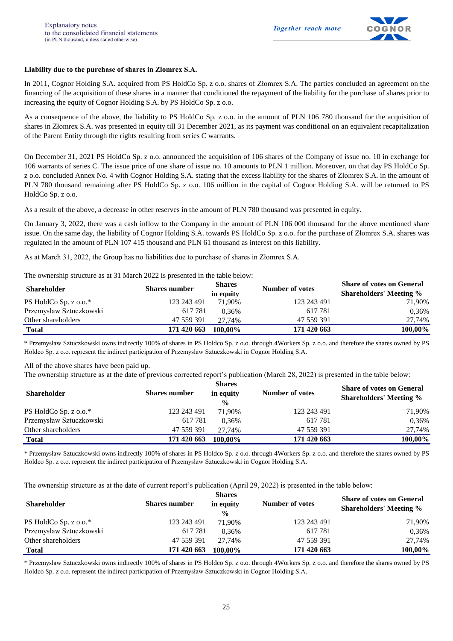

#### **Liability due to the purchase of shares in Złomrex S.A.**

In 2011, Cognor Holding S.A. acquired from PS HoldCo Sp. z o.o. shares of Złomrex S.A. The parties concluded an agreement on the financing of the acquisition of these shares in a manner that conditioned the repayment of the liability for the purchase of shares prior to increasing the equity of Cognor Holding S.A. by PS HoldCo Sp. z o.o.

As a consequence of the above, the liability to PS HoldCo Sp. z o.o. in the amount of PLN 106 780 thousand for the acquisition of shares in Złomrex S.A. was presented in equity till 31 December 2021, as its payment was conditional on an equivalent recapitalization of the Parent Entity through the rights resulting from series C warrants.

On December 31, 2021 PS HoldCo Sp. z o.o. announced the acquisition of 106 shares of the Company of issue no. 10 in exchange for 106 warrants of series C. The issue price of one share of issue no. 10 amounts to PLN 1 million. Moreover, on that day PS HoldCo Sp. z o.o. concluded Annex No. 4 with Cognor Holding S.A. stating that the excess liability for the shares of Złomrex S.A. in the amount of PLN 780 thousand remaining after PS HoldCo Sp. z o.o. 106 million in the capital of Cognor Holding S.A. will be returned to PS HoldCo Sp. z o.o.

As a result of the above, a decrease in other reserves in the amount of PLN 780 thousand was presented in equity.

On January 3, 2022, there was a cash inflow to the Company in the amount of PLN 106 000 thousand for the above mentioned share issue. On the same day, the liability of Cognor Holding S.A. towards PS HoldCo Sp. z o.o. for the purchase of Złomrex S.A. shares was regulated in the amount of PLN 107 415 thousand and PLN 61 thousand as interest on this liability.

As at March 31, 2022, the Group has no liabilities due to purchase of shares in Złomrex S.A.

The ownership structure as at 31 March 2022 is presented in the table below:

| Shareholder             | <b>Shares number</b> | <b>Shares</b><br>in equity | Number of votes | <b>Share of votes on General</b><br><b>Shareholders' Meeting %</b> |
|-------------------------|----------------------|----------------------------|-----------------|--------------------------------------------------------------------|
| PS HoldCo Sp. z o.o.*   | 123 243 491          | 71.90%                     | 123 243 491     | 71,90%                                                             |
| Przemysław Sztuczkowski | 617781               | 0.36%                      | 617 781         | 0,36%                                                              |
| Other shareholders      | 47 559 391           | 27.74%                     | 47 559 391      | 27.74%                                                             |
| <b>Total</b>            | 171 420 663          | 100.00%                    | 171 420 663     | 100,00%                                                            |

\* Przemysław Sztuczkowski owns indirectly 100% of shares in PS Holdco Sp. z o.o. through 4Workers Sp. z o.o. and therefore the shares owned by PS Holdco Sp. z o.o. represent the indirect participation of Przemysław Sztuczkowski in Cognor Holding S.A.

All of the above shares have been paid up.

The ownership structure as at the date of previous corrected report's publication (March 28, 2022) is presented in the table below:

|                         |                      | <b>Shares</b>              |                 | <b>Share of votes on General</b> |  |  |
|-------------------------|----------------------|----------------------------|-----------------|----------------------------------|--|--|
| <b>Shareholder</b>      | <b>Shares number</b> | in equity<br>$\frac{0}{0}$ | Number of votes | <b>Shareholders' Meeting %</b>   |  |  |
| PS HoldCo Sp. z o.o.*   | 123 243 491          | 71.90%                     | 123 243 491     | 71,90%                           |  |  |
| Przemysław Sztuczkowski | 617781               | 0.36%                      | 617 781         | 0.36%                            |  |  |
| Other shareholders      | 47 559 391           | 27.74%                     | 47 559 391      | 27,74%                           |  |  |
| <b>Total</b>            | 171 420 663          | 100.00%                    | 171 420 663     | 100,00%                          |  |  |

\* Przemysław Sztuczkowski owns indirectly 100% of shares in PS Holdco Sp. z o.o. through 4Workers Sp. z o.o. and therefore the shares owned by PS Holdco Sp. z o.o. represent the indirect participation of Przemysław Sztuczkowski in Cognor Holding S.A.

The ownership structure as at the date of current report's publication (April 29, 2022) is presented in the table below:

| <b>Shareholder</b>      | <b>Shares number</b> | <b>Shares</b><br>in equity<br>$\frac{0}{0}$ | Number of votes | <b>Share of votes on General</b><br><b>Shareholders' Meeting %</b> |
|-------------------------|----------------------|---------------------------------------------|-----------------|--------------------------------------------------------------------|
| PS HoldCo Sp. z o.o.*   | 123 243 491          | 71.90%                                      | 123 243 491     | 71,90%                                                             |
| Przemysław Sztuczkowski | 617781               | 0.36%                                       | 617 781         | 0.36%                                                              |
| Other shareholders      | 47 559 391           | 27.74%                                      | 47 559 391      | 27,74%                                                             |
| <b>Total</b>            | 171 420 663          | 100.00%                                     | 171 420 663     | 100,00%                                                            |

\* Przemysław Sztuczkowski owns indirectly 100% of shares in PS Holdco Sp. z o.o. through 4Workers Sp. z o.o. and therefore the shares owned by PS Holdco Sp. z o.o. represent the indirect participation of Przemysław Sztuczkowski in Cognor Holding S.A.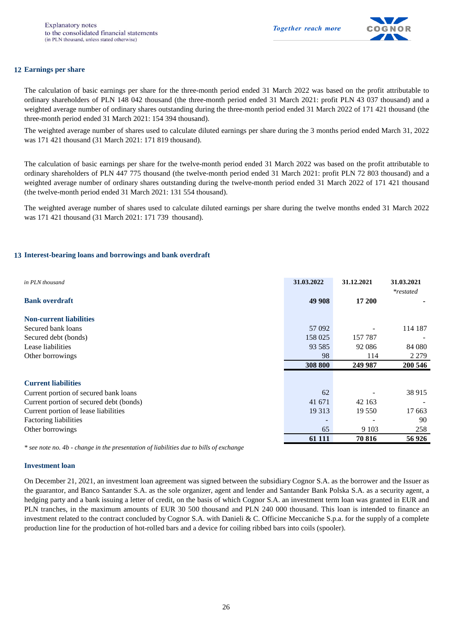

#### **12 Earnings per share**

The calculation of basic earnings per share for the three-month period ended 31 March 2022 was based on the profit attributable to ordinary shareholders of PLN 148 042 thousand (the three-month period ended 31 March 2021: profit PLN 43 037 thousand) and a weighted average number of ordinary shares outstanding during the three-month period ended 31 March 2022 of 171 421 thousand (the three-month period ended 31 March 2021: 154 394 thousand).

The weighted average number of shares used to calculate diluted earnings per share during the 3 months period ended March 31, 2022 was 171 421 thousand (31 March 2021: 171 819 thousand).

The calculation of basic earnings per share for the twelve-month period ended 31 March 2022 was based on the profit attributable to ordinary shareholders of PLN 447 775 thousand (the twelve-month period ended 31 March 2021: profit PLN 72 803 thousand) and a weighted average number of ordinary shares outstanding during the twelve-month period ended 31 March 2022 of 171 421 thousand (the twelve-month period ended 31 March 2021: 131 554 thousand).

The weighted average number of shares used to calculate diluted earnings per share during the twelve months ended 31 March 2022 was 171 421 thousand (31 March 2021: 171 739 thousand).

#### **13 Interest-bearing loans and borrowings and bank overdraft**

| in PLN thousand                         | 31.03.2022 | 31.12.2021 | 31.03.2021<br><i>*restated</i> |
|-----------------------------------------|------------|------------|--------------------------------|
| <b>Bank overdraft</b>                   | 49 908     | 17 200     |                                |
| <b>Non-current liabilities</b>          |            |            |                                |
| Secured bank loans                      | 57 092     |            | 114 187                        |
| Secured debt (bonds)                    | 158 025    | 157 787    |                                |
| Lease liabilities                       | 93 5 85    | 92 086     | 84 080                         |
| Other borrowings                        | 98         | 114        | 2 2 7 9                        |
|                                         | 308 800    | 249 987    | 200 546                        |
|                                         |            |            |                                |
| <b>Current liabilities</b>              |            |            |                                |
| Current portion of secured bank loans   | 62         |            | 38 915                         |
| Current portion of secured debt (bonds) | 41 671     | 42 163     |                                |
| Current portion of lease liabilities    | 19 3 13    | 19 550     | 17663                          |
| <b>Factoring liabilities</b>            |            |            | 90                             |
| Other borrowings                        | 65         | 9 1 0 3    | 258                            |
|                                         | 61 111     | 70 816     | 56926                          |

*\* see note no. 4b - change in the presentation of liabilities due to bills of exchange*

#### **Investment loan**

On December 21, 2021, an investment loan agreement was signed between the subsidiary Cognor S.A. as the borrower and the Issuer as the guarantor, and Banco Santander S.A. as the sole organizer, agent and lender and Santander Bank Polska S.A. as a security agent, a hedging party and a bank issuing a letter of credit, on the basis of which Cognor S.A. an investment term loan was granted in EUR and PLN tranches, in the maximum amounts of EUR 30 500 thousand and PLN 240 000 thousand. This loan is intended to finance an investment related to the contract concluded by Cognor S.A. with Danieli & C. Officine Meccaniche S.p.a. for the supply of a complete production line for the production of hot-rolled bars and a device for coiling ribbed bars into coils (spooler).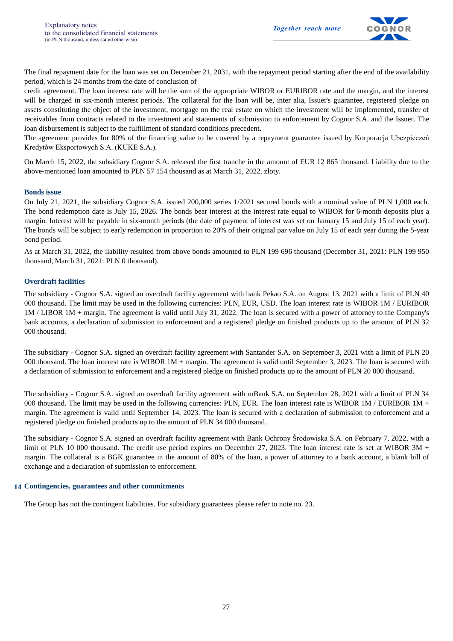

The final repayment date for the loan was set on December 21, 2031, with the repayment period starting after the end of the availability period, which is 24 months from the date of conclusion of

credit agreement. The loan interest rate will be the sum of the appropriate WIBOR or EURIBOR rate and the margin, and the interest will be charged in six-month interest periods. The collateral for the loan will be, inter alia. Issuer's guarantee, registered pledge on assets constituting the object of the investment, mortgage on the real estate on which the investment will be implemented, transfer of receivables from contracts related to the investment and statements of submission to enforcement by Cognor S.A. and the Issuer. The loan disbursement is subject to the fulfillment of standard conditions precedent.

The agreement provides for 80% of the financing value to be covered by a repayment guarantee issued by Korporacja Ubezpieczeń Kredytów Eksportowych S.A. (KUKE S.A.).

On March 15, 2022, the subsidiary Cognor S.A. released the first tranche in the amount of EUR 12 865 thousand. Liability due to the above-mentioned loan amounted to PLN 57 154 thousand as at March 31, 2022. zloty.

#### **Bonds issue**

On July 21, 2021, the subsidiary Cognor S.A. issued 200,000 series 1/2021 secured bonds with a nominal value of PLN 1,000 each. The bond redemption date is July 15, 2026. The bonds bear interest at the interest rate equal to WIBOR for 6-month deposits plus a margin. Interest will be payable in six-month periods (the date of payment of interest was set on January 15 and July 15 of each year). The bonds will be subject to early redemption in proportion to 20% of their original par value on July 15 of each year during the 5-year bond period.

As at March 31, 2022, the liability resulted from above bonds amounted to PLN 199 696 thousand (December 31, 2021: PLN 199 950 thousand, March 31, 2021: PLN 0 thousand).

#### **Overdraft facilities**

The subsidiary - Cognor S.A. signed an overdraft facility agreement with bank Pekao S.A. on August 13, 2021 with a limit of PLN 40 000 thousand. The limit may be used in the following currencies: PLN, EUR, USD. The loan interest rate is WIBOR 1M / EURIBOR 1M / LIBOR 1M + margin. The agreement is valid until July 31, 2022. The loan is secured with a power of attorney to the Company's bank accounts, a declaration of submission to enforcement and a registered pledge on finished products up to the amount of PLN 32 000 thousand.

The subsidiary - Cognor S.A. signed an overdraft facility agreement with Santander S.A. on September 3, 2021 with a limit of PLN 20 000 thousand. The loan interest rate is WIBOR 1M + margin. The agreement is valid until September 3, 2023. The loan is secured with a declaration of submission to enforcement and a registered pledge on finished products up to the amount of PLN 20 000 thousand.

The subsidiary - Cognor S.A. signed an overdraft facility agreement with mBank S.A. on September 28, 2021 with a limit of PLN 34 000 thousand. The limit may be used in the following currencies: PLN, EUR. The loan interest rate is WIBOR 1M / EURIBOR 1M + margin. The agreement is valid until September 14, 2023. The loan is secured with a declaration of submission to enforcement and a registered pledge on finished products up to the amount of PLN 34 000 thousand.

The subsidiary - Cognor S.A. signed an overdraft facility agreement with Bank Ochrony Środowiska S.A. on February 7, 2022, with a limit of PLN 10 000 thousand. The credit use period expires on December 27, 2023. The loan interest rate is set at WIBOR  $3M +$ margin. The collateral is a BGK guarantee in the amount of 80% of the loan, a power of attorney to a bank account, a blank bill of exchange and a declaration of submission to enforcement.

#### **14 Contingencies, guarantees and other commitments**

The Group has not the contingent liabilities. For subsidiary guarantees please refer to note no. 23.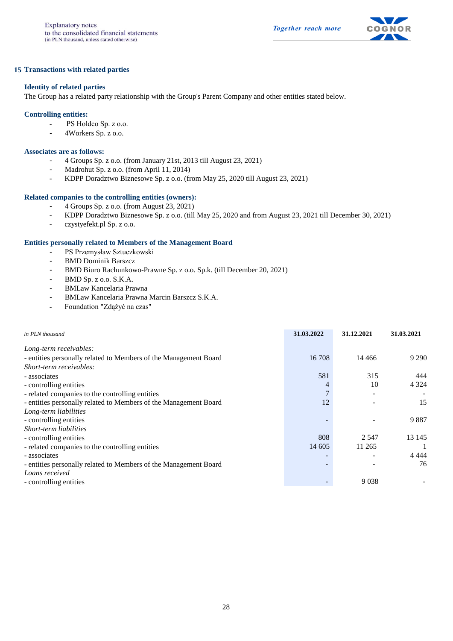

#### **15 Transactions with related parties**

#### **Identity of related parties**

The Group has a related party relationship with the Group's Parent Company and other entities stated below.

#### **Controlling entities:**

- PS Holdco Sp. z o.o.
- 4Workers Sp. z o.o.

#### **Associates are as follows:**

- 4 Groups Sp. z o.o. (from January 21st, 2013 till August 23, 2021)
- Madrohut Sp. z o.o. (from April 11, 2014)
- KDPP Doradztwo Biznesowe Sp. z o.o. (from May 25, 2020 till August 23, 2021)

#### **Related companies to the controlling entities (owners):**

- 4 Groups Sp. z o.o. (from August 23, 2021)
- KDPP Doradztwo Biznesowe Sp. z o.o. (till May 25, 2020 and from August 23, 2021 till December 30, 2021)
- czystyefekt.pl Sp. z o.o.

#### **Entities personally related to Members of the Management Board**

- PS Przemysław Sztuczkowski
- BMD Dominik Barszcz
- BMD Biuro Rachunkowo-Prawne Sp. z o.o. Sp.k. (till December 20, 2021)
- BMD Sp. z o.o. S.K.A.
- BMLaw Kancelaria Prawna
- BMLaw Kancelaria Prawna Marcin Barszcz S.K.A.
- Foundation "Zdążyć na czas"

| in PLN thousand                                                  | 31.03.2022               | 31.12.2021 | 31.03.2021 |
|------------------------------------------------------------------|--------------------------|------------|------------|
| Long-term receivables:                                           |                          |            |            |
| - entities personally related to Members of the Management Board | 16 708                   | 14 4 6 6   | 9 2 9 0    |
| Short-term receivables:                                          |                          |            |            |
| - associates                                                     | 581                      | 315        | 444        |
| - controlling entities                                           | 4                        | 10         | 4 3 2 4    |
| - related companies to the controlling entities                  | 7                        |            |            |
| - entities personally related to Members of the Management Board | 12                       |            | 15         |
| Long-term liabilities                                            |                          |            |            |
| - controlling entities                                           | $\overline{\phantom{0}}$ |            | 9887       |
| Short-term liabilities                                           |                          |            |            |
| - controlling entities                                           | 808                      | 2 5 4 7    | 13 145     |
| - related companies to the controlling entities                  | 14 605                   | 11 265     |            |
| - associates                                                     | $\overline{\phantom{0}}$ |            | 4 4 4 4    |
| - entities personally related to Members of the Management Board | $\overline{\phantom{0}}$ |            | 76         |
| Loans received                                                   |                          |            |            |
| - controlling entities                                           |                          | 9038       |            |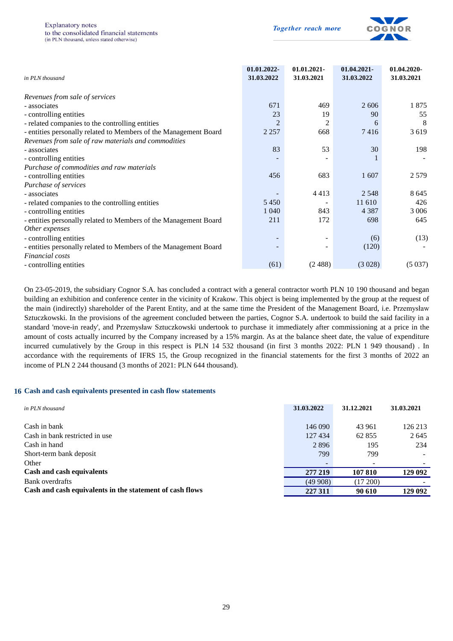

| in PLN thousand                                                                     | 01.01.2022-<br>31.03.2022 | 01.01.2021-<br>31.03.2021 | 01.04.2021-<br>31.03.2022 | 01.04.2020-<br>31.03.2021 |
|-------------------------------------------------------------------------------------|---------------------------|---------------------------|---------------------------|---------------------------|
| Revenues from sale of services                                                      |                           |                           |                           |                           |
| - associates                                                                        | 671                       | 469                       | 2606                      | 1875                      |
| - controlling entities                                                              | 23                        | 19                        | 90                        | 55                        |
| - related companies to the controlling entities                                     | $\overline{2}$            | $\overline{2}$            | 6                         | 8                         |
| - entities personally related to Members of the Management Board                    | 2 2 5 7                   | 668                       | 7416                      | 3619                      |
| Revenues from sale of raw materials and commodities                                 |                           |                           |                           |                           |
| - associates                                                                        | 83                        | 53                        | 30                        | 198                       |
| - controlling entities                                                              |                           |                           |                           |                           |
| Purchase of commodities and raw materials                                           |                           |                           |                           |                           |
| - controlling entities                                                              | 456                       | 683                       | 1607                      | 2579                      |
| Purchase of services                                                                |                           |                           |                           |                           |
| - associates                                                                        |                           | 4413                      | 2 5 4 8                   | 8 6 4 5                   |
| - related companies to the controlling entities                                     | 5450                      |                           | 11 610                    | 426                       |
| - controlling entities                                                              | 1 0 4 0                   | 843                       | 4 3 8 7                   | 3 0 0 6                   |
| - entities personally related to Members of the Management Board                    | 211                       | 172                       | 698                       | 645                       |
| Other expenses                                                                      |                           |                           |                           |                           |
| - controlling entities                                                              |                           | -                         | (6)                       | (13)                      |
| - entities personally related to Members of the Management Board<br>Financial costs |                           |                           | (120)                     |                           |
| - controlling entities                                                              | (61)                      | (2.488)                   | (3028)                    | (5037)                    |

On 23-05-2019, the subsidiary Cognor S.A. has concluded a contract with a general contractor worth PLN 10 190 thousand and began building an exhibition and conference center in the vicinity of Krakow. This object is being implemented by the group at the request of the main (indirectly) shareholder of the Parent Entity, and at the same time the President of the Management Board, i.e. Przemysław Sztuczkowski. In the provisions of the agreement concluded between the parties, Cognor S.A. undertook to build the said facility in a standard 'move-in ready', and Przemysław Sztuczkowski undertook to purchase it immediately after commissioning at a price in the amount of costs actually incurred by the Company increased by a 15% margin. As at the balance sheet date, the value of expenditure incurred cumulatively by the Group in this respect is PLN 14 532 thousand (in first 3 months 2022: PLN 1 949 thousand) . In accordance with the requirements of IFRS 15, the Group recognized in the financial statements for the first 3 months of 2022 an income of PLN 2 244 thousand (3 months of 2021: PLN 644 thousand).

#### **16 Cash and cash equivalents presented in cash flow statements**

| in PLN thousand                                          | 31.03.2022 | 31.12.2021 | 31.03.2021 |
|----------------------------------------------------------|------------|------------|------------|
| Cash in bank                                             | 146 090    | 43 961     | 126 213    |
| Cash in bank restricted in use                           | 127434     | 62 855     | 2645       |
| Cash in hand                                             | 2896       | 195        | 234        |
| Short-term bank deposit                                  | 799        | 799        |            |
| Other                                                    |            |            |            |
| Cash and cash equivalents                                | 277 219    | 107 810    | 129 092    |
| Bank overdrafts                                          | (49908)    | (17200)    |            |
| Cash and cash equivalents in the statement of cash flows | 227 311    | 90 610     | 129 092    |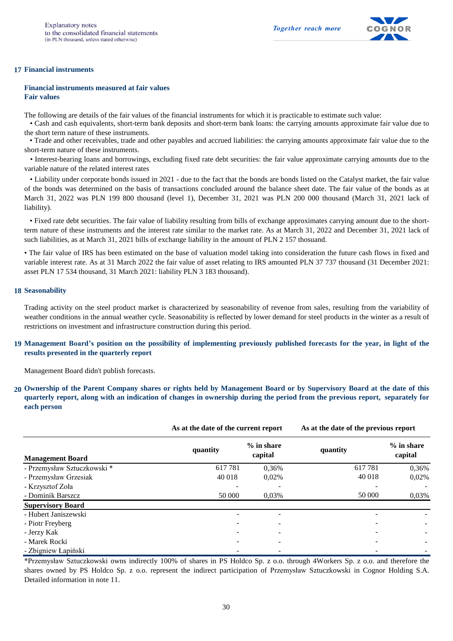

#### **17 Financial instruments**

**Financial instruments measured at fair values Fair values**

The following are details of the fair values of the financial instruments for which it is practicable to estimate such value:

• Cash and cash equivalents, short-term bank deposits and short-term bank loans: the carrying amounts approximate fair value due to the short term nature of these instruments.

• Trade and other receivables, trade and other payables and accrued liabilities: the carrying amounts approximate fair value due to the short-term nature of these instruments.

• Interest-bearing loans and borrowings, excluding fixed rate debt securities: the fair value approximate carrying amounts due to the variable nature of the related interest rates

• Liability under corporate bonds issued in 2021 - due to the fact that the bonds are bonds listed on the Catalyst market, the fair value of the bonds was determined on the basis of transactions concluded around the balance sheet date. The fair value of the bonds as at March 31, 2022 was PLN 199 800 thousand (level 1), December 31, 2021 was PLN 200 000 thousand (March 31, 2021 lack of liability).

• Fixed rate debt securities. The fair value of liability resulting from bills of exchange approximates carrying amount due to the shortterm nature of these instruments and the interest rate similar to the market rate. As at March 31, 2022 and December 31, 2021 lack of such liabilities, as at March 31, 2021 bills of exchange liability in the amount of PLN 2 157 thosuand.

• The fair value of IRS has been estimated on the base of valuation model taking into consideration the future cash flows in fixed and variable interest rate. As at 31 March 2022 the fair value of asset relating to IRS amounted PLN 37 737 thousand (31 December 2021: asset PLN 17 534 thousand, 31 March 2021: liability PLN 3 183 thousand).

#### **18 Seasonability**

Trading activity on the steel product market is characterized by seasonability of revenue from sales, resulting from the variability of weather conditions in the annual weather cycle. Seasonability is reflected by lower demand for steel products in the winter as a result of restrictions on investment and infrastructure construction during this period.

#### 19 Management Board's position on the possibility of implementing previously published forecasts for the year, in light of the **results presented in the quarterly report**

Management Board didn't publish forecasts.

20 Ownership of the Parent Company shares or rights held by Management Board or by Supervisory Board at the date of this quarterly report, along with an indication of changes in ownership during the period from the previous report, separately for **each person**

|                             | As at the date of the current report |                         | As at the date of the previous report |                         |
|-----------------------------|--------------------------------------|-------------------------|---------------------------------------|-------------------------|
| <b>Management Board</b>     | quantity                             | $%$ in share<br>capital | quantity                              | $%$ in share<br>capital |
| - Przemysław Sztuczkowski * | 617781                               | 0,36%                   | 617781                                | 0.36%                   |
| - Przemysław Grzesiak       | 40 018                               | 0,02%                   | 40 018                                | 0,02%                   |
| - Krzysztof Zoła            |                                      |                         |                                       |                         |
| - Dominik Barszcz           | 50 000                               | 0,03%                   | 50 000                                | 0,03%                   |
| <b>Supervisory Board</b>    |                                      |                         |                                       |                         |
| - Hubert Janiszewski        |                                      |                         |                                       |                         |
| - Piotr Freyberg            |                                      |                         |                                       |                         |
| - Jerzy Kak                 | -                                    |                         |                                       |                         |
| - Marek Rocki               |                                      |                         |                                       |                         |
| - Zbigniew Łapiński         |                                      |                         |                                       |                         |

\*Przemysław Sztuczkowski owns indirectly 100% of shares in PS Holdco Sp. z o.o. through 4Workers Sp. z o.o. and therefore the shares owned by PS Holdco Sp. z o.o. represent the indirect participation of Przemysław Sztuczkowski in Cognor Holding S.A. Detailed information in note 11.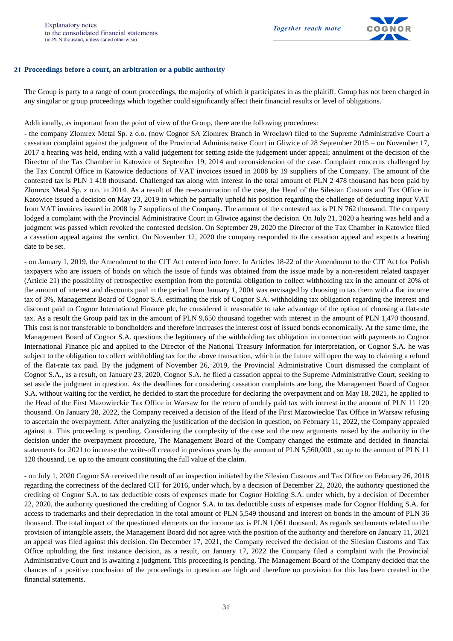

#### **21 Proceedings before a court, an arbitration or a public authority**

The Group is party to a range of court proceedings, the majority of which it participates in as the plaitiff. Group has not been charged in any singular or group proceedings which together could significantly affect their financial results or level of obligations.

Additionally, as important from the point of view of the Group, there are the following procedures:

- the company Złomrex Metal Sp. z o.o. (now Cognor SA Złomrex Branch in Wrocław) filed to the Supreme Administrative Court a cassation complaint against the judgment of the Provincial Administrative Court in Gliwice of 28 September 2015 – on November 17, 2017 a hearing was held, ending with a valid judgement for setting aside the judgement under appeal; annulment ot the decision of the Director of the Tax Chamber in Katowice of September 19, 2014 and reconsideration of the case. Complaint concerns challenged by the Tax Control Office in Katowice deductions of VAT invoices issued in 2008 by 19 suppliers of the Company. The amount of the contested tax is PLN 1 418 thousand. Challenged tax along with interest in the total amount of PLN 2 478 thousand has been paid by Złomrex Metal Sp. z o.o. in 2014. As a result of the re-examination of the case, the Head of the Silesian Customs and Tax Office in Katowice issued a decision on May 23, 2019 in which he partially upheld his position regarding the challenge of deducting input VAT from VAT invoices issued in 2008 by 7 suppliers of the Company. The amount of the contested tax is PLN 762 thousand. The company lodged a complaint with the Provincial Administrative Court in Gliwice against the decision. On July 21, 2020 a hearing was held and a judgment was passed which revoked the contested decision. On September 29, 2020 the Director of the Tax Chamber in Katowice filed a cassation appeal against the verdict. On November 12, 2020 the company responded to the cassation appeal and expects a hearing date to be set.

- on January 1, 2019, the Amendment to the CIT Act entered into force. In Articles 18-22 of the Amendment to the CIT Act for Polish taxpayers who are issuers of bonds on which the issue of funds was obtained from the issue made by a non-resident related taxpayer (Article 21) the possibility of retrospective exemption from the potential obligation to collect withholding tax in the amount of 20% of the amount of interest and discounts paid in the period from January 1, 2004 was envisaged by choosing to tax them with a flat income tax of 3%. Management Board of Cognor S.A. estimating the risk of Cognor S.A. withholding tax obligation regarding the interest and discount paid to Cognor International Finance plc, he considered it reasonable to take advantage of the option of choosing a flat-rate tax. As a result the Group paid tax in the amount of PLN 9,650 thousand together with interest in the amount of PLN 1,470 thousand. This cost is not transferable to bondholders and therefore increases the interest cost of issued bonds economically. At the same time, the Management Board of Cognor S.A. questions the legitimacy of the withholding tax obligation in connection with payments to Cognor International Finance plc and applied to the Director of the National Treasury Information for interpretation, or Cognor S.A. he was subject to the obligation to collect withholding tax for the above transaction, which in the future will open the way to claiming a refund of the flat-rate tax paid. By the judgment of November 26, 2019, the Provincial Administrative Court dismissed the complaint of Cognor S.A., as a result, on January 23, 2020, Cognor S.A. he filed a cassation appeal to the Supreme Administrative Court, seeking to set aside the judgment in question. As the deadlines for considering cassation complaints are long, the Management Board of Cognor S.A. without waiting for the verdict, he decided to start the procedure for declaring the overpayment and on May 18, 2021, he applied to the Head of the First Mazowieckie Tax Office in Warsaw for the return of unduly paid tax with interest in the amount of PLN 11 120 thousand. On January 28, 2022, the Company received a decision of the Head of the First Mazowieckie Tax Office in Warsaw refusing to ascertain the overpayment. After analyzing the justification of the decision in question, on February 11, 2022, the Company appealed against it. This proceeding is pending. Considering the complexity of the case and the new arguments raised by the authority in the decision under the overpayment procedure, The Management Board of the Company changed the estimate and decided in financial statements for 2021 to increase the write-off created in previous years by the amount of PLN 5,560,000 , so up to the amount of PLN 11 120 thousand, i.e. up to the amount constituting the full value of the claim.

- on July 1, 2020 Cognor SA received the result of an inspection initiated by the Silesian Customs and Tax Office on February 26, 2018 regarding the correctness of the declared CIT for 2016, under which, by a decision of December 22, 2020, the authority questioned the crediting of Cognor S.A. to tax deductible costs of expenses made for Cognor Holding S.A. under which, by a decision of December 22, 2020, the authority questioned the crediting of Cognor S.A. to tax deductible costs of expenses made for Cognor Holding S.A. for access to trademarks and their depreciation in the total amount of PLN 5,549 thousand and interest on bonds in the amount of PLN 36 thousand. The total impact of the questioned elements on the income tax is PLN 1,061 thousand. As regards settlements related to the provision of intangible assets, the Management Board did not agree with the position of the authority and therefore on January 11, 2021 an appeal was filed against this decision. On December 17, 2021, the Company received the decision of the Silesian Customs and Tax Office upholding the first instance decision, as a result, on January 17, 2022 the Company filed a complaint with the Provincial Administrative Court and is awaiting a judgment. This proceeding is pending. The Management Board of the Company decided that the chances of a positive conclusion of the proceedings in question are high and therefore no provision for this has been created in the financial statements.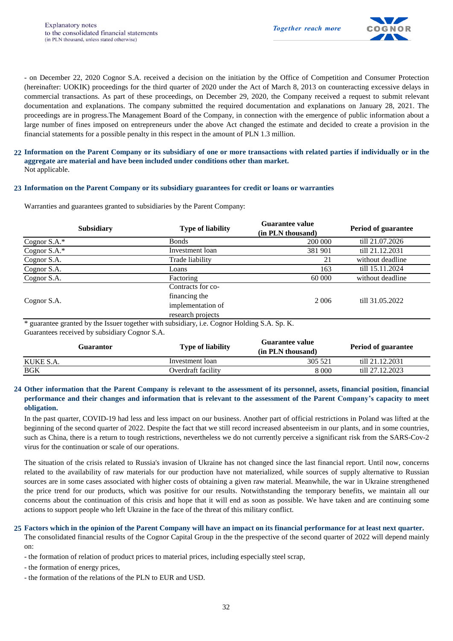

- on December 22, 2020 Cognor S.A. received a decision on the initiation by the Office of Competition and Consumer Protection (hereinafter: UOKIK) proceedings for the third quarter of 2020 under the Act of March 8, 2013 on counteracting excessive delays in commercial transactions. As part of these proceedings, on December 29, 2020, the Company received a request to submit relevant documentation and explanations. The company submitted the required documentation and explanations on January 28, 2021. The proceedings are in progress.The Management Board of the Company, in connection with the emergence of public information about a large number of fines imposed on entrepreneurs under the above Act changed the estimate and decided to create a provision in the financial statements for a possible penalty in this respect in the amount of PLN 1.3 million.

#### 22 Information on the Parent Company or its subsidiary of one or more transactions with related parties if individually or in the Not applicable. **aggregate are material and have been included under conditions other than market.**

#### **23 Information on the Parent Company or its subsidiary guarantees for credit or loans or warranties**

Warranties and guarantees granted to subsidiaries by the Parent Company:

|              | <b>Subsidiary</b> | <b>Type of liability</b> | <b>Guarantee value</b><br>(in PLN thousand) | <b>Period of guarantee</b> |
|--------------|-------------------|--------------------------|---------------------------------------------|----------------------------|
| Cognor S.A.* |                   | <b>Bonds</b>             | 200 000                                     | till 21.07.2026            |
| Cognor S.A.* |                   | Investment loan          | 381 901                                     | till 21.12.2031            |
| Cognor S.A.  |                   | Trade liability          | 21                                          | without deadline           |
| Cognor S.A.  |                   | Loans                    | 163                                         | till 15.11.2024            |
| Cognor S.A.  |                   | Factoring                | 60 000                                      | without deadline           |
| Cognor S.A.  |                   | Contracts for co-        |                                             | till 31.05.2022            |
|              |                   | financing the            | 2 0 0 6                                     |                            |
|              |                   | implementation of        |                                             |                            |
|              |                   | research projects        |                                             |                            |

Guarantees received by subsidiary Cognor S.A. \* guarantee granted by the Issuer together with subsidiary, i.e. Cognor Holding S.A. Sp. K.

| Guarantor  |  | <b>Type of liability</b> | Guarantee value<br>(in PLN thousand) | <b>Period of guarantee</b> |
|------------|--|--------------------------|--------------------------------------|----------------------------|
| KUKE S.A.  |  | Investment loan          | 305 521                              | till 21.12.2031            |
| <b>BGK</b> |  | Overdraft facility       | 8 000                                | till 27.12.2023            |

#### 24 Other information that the Parent Company is relevant to the assessment of its personnel, assets, financial position, financial performance and their changes and information that is relevant to the assessment of the Parent Company's capacity to meet **obligation.**

In the past quarter, COVID-19 had less and less impact on our business. Another part of official restrictions in Poland was lifted at the beginning of the second quarter of 2022. Despite the fact that we still record increased absenteeism in our plants, and in some countries, such as China, there is a return to tough restrictions, nevertheless we do not currently perceive a significant risk from the SARS-Cov-2 virus for the continuation or scale of our operations.

The situation of the crisis related to Russia's invasion of Ukraine has not changed since the last financial report. Until now, concerns related to the availability of raw materials for our production have not materialized, while sources of supply alternative to Russian sources are in some cases associated with higher costs of obtaining a given raw material. Meanwhile, the war in Ukraine strengthened the price trend for our products, which was positive for our results. Notwithstanding the temporary benefits, we maintain all our concerns about the continuation of this crisis and hope that it will end as soon as possible. We have taken and are continuing some actions to support people who left Ukraine in the face of the threat of this military conflict.

#### **25 Factors which in the opinion of the Parent Company will have an impact on its financial performance for at least next quarter.**

The consolidated financial results of the Cognor Capital Group in the the prespective of the second quarter of 2022 will depend mainly on:

- the formation of relation of product prices to material prices, including especially steel scrap,

- the formation of energy prices,

- the formation of the relations of the PLN to EUR and USD.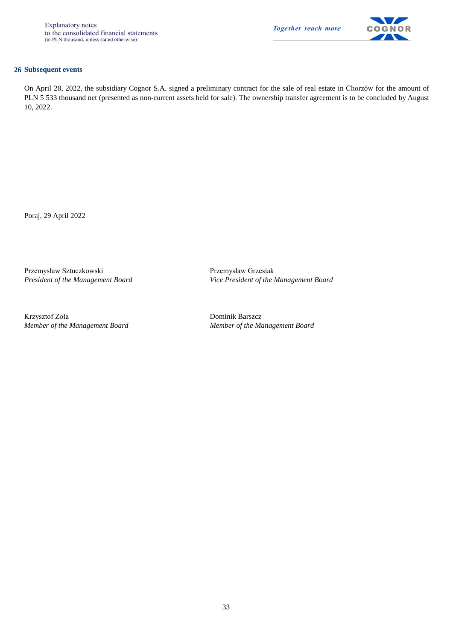

#### **26 Subsequent events**

On April 28, 2022, the subsidiary Cognor S.A. signed a preliminary contract for the sale of real estate in Chorzów for the amount of PLN 5 533 thousand net (presented as non-current assets held for sale). The ownership transfer agreement is to be concluded by August 10, 2022.

Poraj, 29 April 2022

Przemysław Sztuczkowski Przemysław Grzesiak

Krzysztof Zoła Dominik Barszcz *Member of the Management Board Member of the Management Board*

*President of the Management Board Vice President of the Management Board*